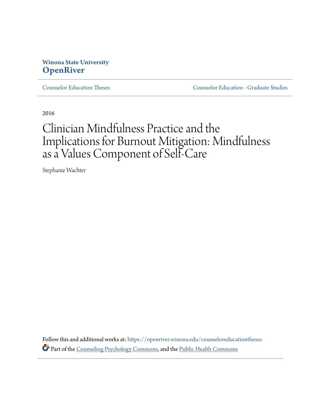# **Winona State University [OpenRiver](https://openriver.winona.edu/?utm_source=openriver.winona.edu%2Fcounseloreducationtheses%2F1&utm_medium=PDF&utm_campaign=PDFCoverPages)**

[Counselor Education Theses](https://openriver.winona.edu/counseloreducationtheses?utm_source=openriver.winona.edu%2Fcounseloreducationtheses%2F1&utm_medium=PDF&utm_campaign=PDFCoverPages) [Counselor Education - Graduate Studies](https://openriver.winona.edu/counseloreducation?utm_source=openriver.winona.edu%2Fcounseloreducationtheses%2F1&utm_medium=PDF&utm_campaign=PDFCoverPages)

2016

# Clinician Mindfulness Practice and the Implications for Burnout Mitigation: Mindfulness as a Values Component of Self-Care

Stephanie Wachter

Follow this and additional works at: [https://openriver.winona.edu/counseloreducationtheses](https://openriver.winona.edu/counseloreducationtheses?utm_source=openriver.winona.edu%2Fcounseloreducationtheses%2F1&utm_medium=PDF&utm_campaign=PDFCoverPages) Part of the [Counseling Psychology Commons](http://network.bepress.com/hgg/discipline/1044?utm_source=openriver.winona.edu%2Fcounseloreducationtheses%2F1&utm_medium=PDF&utm_campaign=PDFCoverPages), and the [Public Health Commons](http://network.bepress.com/hgg/discipline/738?utm_source=openriver.winona.edu%2Fcounseloreducationtheses%2F1&utm_medium=PDF&utm_campaign=PDFCoverPages)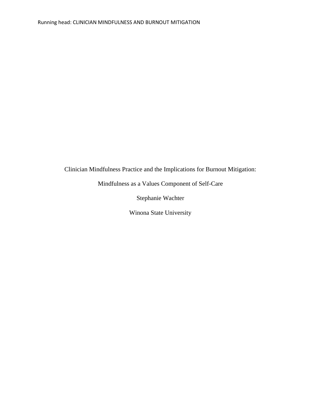# Clinician Mindfulness Practice and the Implications for Burnout Mitigation:

Mindfulness as a Values Component of Self-Care

Stephanie Wachter

Winona State University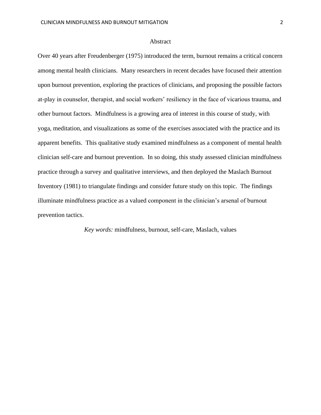#### Abstract

Over 40 years after Freudenberger (1975) introduced the term, burnout remains a critical concern among mental health clinicians. Many researchers in recent decades have focused their attention upon burnout prevention, exploring the practices of clinicians, and proposing the possible factors at-play in counselor, therapist, and social workers' resiliency in the face of vicarious trauma, and other burnout factors. Mindfulness is a growing area of interest in this course of study, with yoga, meditation, and visualizations as some of the exercises associated with the practice and its apparent benefits. This qualitative study examined mindfulness as a component of mental health clinician self-care and burnout prevention. In so doing, this study assessed clinician mindfulness practice through a survey and qualitative interviews, and then deployed the Maslach Burnout Inventory (1981) to triangulate findings and consider future study on this topic. The findings illuminate mindfulness practice as a valued component in the clinician's arsenal of burnout prevention tactics.

*Key words:* mindfulness, burnout, self-care, Maslach, values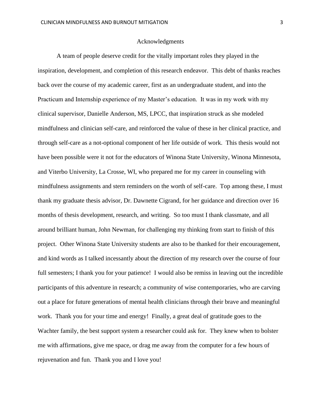## Acknowledgments

A team of people deserve credit for the vitally important roles they played in the inspiration, development, and completion of this research endeavor. This debt of thanks reaches back over the course of my academic career, first as an undergraduate student, and into the Practicum and Internship experience of my Master's education. It was in my work with my clinical supervisor, Danielle Anderson, MS, LPCC, that inspiration struck as she modeled mindfulness and clinician self-care, and reinforced the value of these in her clinical practice, and through self-care as a not-optional component of her life outside of work. This thesis would not have been possible were it not for the educators of Winona State University, Winona Minnesota, and Viterbo University, La Crosse, WI, who prepared me for my career in counseling with mindfulness assignments and stern reminders on the worth of self-care. Top among these, I must thank my graduate thesis advisor, Dr. Dawnette Cigrand, for her guidance and direction over 16 months of thesis development, research, and writing. So too must I thank classmate, and all around brilliant human, John Newman, for challenging my thinking from start to finish of this project. Other Winona State University students are also to be thanked for their encouragement, and kind words as I talked incessantly about the direction of my research over the course of four full semesters; I thank you for your patience! I would also be remiss in leaving out the incredible participants of this adventure in research; a community of wise contemporaries, who are carving out a place for future generations of mental health clinicians through their brave and meaningful work. Thank you for your time and energy! Finally, a great deal of gratitude goes to the Wachter family, the best support system a researcher could ask for. They knew when to bolster me with affirmations, give me space, or drag me away from the computer for a few hours of rejuvenation and fun. Thank you and I love you!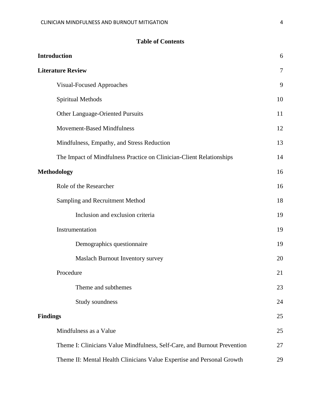# **Table of Contents**

| <b>Introduction</b>                                                      | 6              |
|--------------------------------------------------------------------------|----------------|
| <b>Literature Review</b>                                                 | $\overline{7}$ |
| <b>Visual-Focused Approaches</b>                                         | 9              |
| Spiritual Methods                                                        | 10             |
| <b>Other Language-Oriented Pursuits</b>                                  | 11             |
| Movement-Based Mindfulness                                               | 12             |
| Mindfulness, Empathy, and Stress Reduction                               | 13             |
| The Impact of Mindfulness Practice on Clinician-Client Relationships     | 14             |
| <b>Methodology</b>                                                       | 16             |
| Role of the Researcher                                                   | 16             |
| Sampling and Recruitment Method                                          | 18             |
| Inclusion and exclusion criteria                                         | 19             |
| Instrumentation                                                          | 19             |
| Demographics questionnaire                                               | 19             |
| Maslach Burnout Inventory survey                                         | 20             |
| Procedure                                                                | 21             |
| Theme and subthemes                                                      | 23             |
| Study soundness                                                          | 24             |
| <b>Findings</b>                                                          |                |
| Mindfulness as a Value                                                   | 25             |
| Theme I: Clinicians Value Mindfulness, Self-Care, and Burnout Prevention | 27             |
| Theme II: Mental Health Clinicians Value Expertise and Personal Growth   | 29             |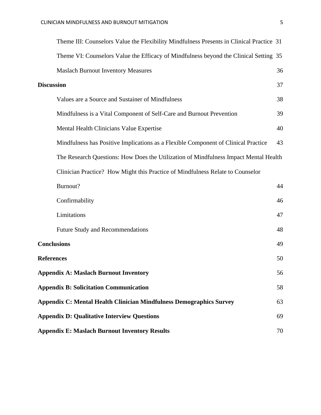|                    | Theme III: Counselors Value the Flexibility Mindfulness Presents in Clinical Practice 31 |    |
|--------------------|------------------------------------------------------------------------------------------|----|
|                    | Theme VI: Counselors Value the Efficacy of Mindfulness beyond the Clinical Setting 35    |    |
|                    | <b>Maslach Burnout Inventory Measures</b>                                                | 36 |
| <b>Discussion</b>  |                                                                                          | 37 |
|                    | Values are a Source and Sustainer of Mindfulness                                         | 38 |
|                    | Mindfulness is a Vital Component of Self-Care and Burnout Prevention                     | 39 |
|                    | Mental Health Clinicians Value Expertise                                                 | 40 |
|                    | Mindfulness has Positive Implications as a Flexible Component of Clinical Practice       | 43 |
|                    | The Research Questions: How Does the Utilization of Mindfulness Impact Mental Health     |    |
|                    | Clinician Practice? How Might this Practice of Mindfulness Relate to Counselor           |    |
|                    | Burnout?                                                                                 | 44 |
|                    | Confirmability                                                                           | 46 |
|                    | Limitations                                                                              | 47 |
|                    | <b>Future Study and Recommendations</b>                                                  | 48 |
| <b>Conclusions</b> |                                                                                          | 49 |
| <b>References</b>  |                                                                                          | 50 |
|                    | <b>Appendix A: Maslach Burnout Inventory</b>                                             | 56 |
|                    | <b>Appendix B: Solicitation Communication</b>                                            | 58 |
|                    | <b>Appendix C: Mental Health Clinician Mindfulness Demographics Survey</b>               | 63 |
|                    | <b>Appendix D: Qualitative Interview Questions</b>                                       | 69 |
|                    | <b>Appendix E: Maslach Burnout Inventory Results</b>                                     | 70 |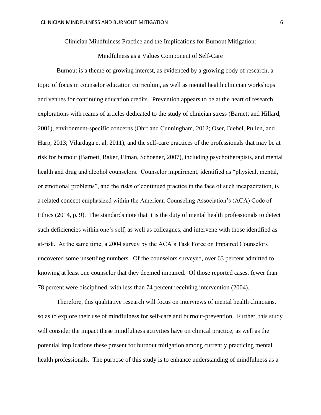Clinician Mindfulness Practice and the Implications for Burnout Mitigation:

## Mindfulness as a Values Component of Self-Care

Burnout is a theme of growing interest, as evidenced by a growing body of research, a topic of focus in counselor education curriculum, as well as mental health clinician workshops and venues for continuing education credits. Prevention appears to be at the heart of research explorations with reams of articles dedicated to the study of clinician stress (Barnett and Hillard, 2001), environment-specific concerns (Ohrt and Cunningham, 2012; Oser, Biebel, Pullen, and Harp, 2013; Vilardaga et al, 2011), and the self-care practices of the professionals that may be at risk for burnout (Barnett, Baker, Elman, Schoener, 2007), including psychotherapists, and mental health and drug and alcohol counselors. Counselor impairment, identified as "physical, mental, or emotional problems", and the risks of continued practice in the face of such incapacitation, is a related concept emphasized within the American Counseling Association's (ACA) Code of Ethics (2014, p. 9). The standards note that it is the duty of mental health professionals to detect such deficiencies within one's self, as well as colleagues, and intervene with those identified as at-risk. At the same time, a 2004 survey by the ACA's Task Force on Impaired Counselors uncovered some unsettling numbers. Of the counselors surveyed, over 63 percent admitted to knowing at least one counselor that they deemed impaired. Of those reported cases, fewer than 78 percent were disciplined, with less than 74 percent receiving intervention (2004).

Therefore, this qualitative research will focus on interviews of mental health clinicians, so as to explore their use of mindfulness for self-care and burnout-prevention. Further, this study will consider the impact these mindfulness activities have on clinical practice; as well as the potential implications these present for burnout mitigation among currently practicing mental health professionals. The purpose of this study is to enhance understanding of mindfulness as a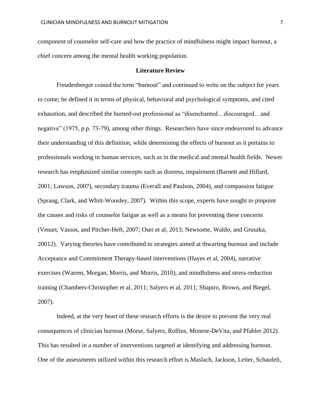component of counselor self-care and how the practice of mindfulness might impact burnout, a chief concern among the mental health working population.

#### **Literature Review**

Freudenberger coined the term "burnout" and continued to write on the subject for years to come; he defined it in terms of physical, behavioral and psychological symptoms, and cited exhaustion, and described the burned-out professional as "disenchanted…discouraged…and negative" (1975, p.p. 73-79), among other things. Researchers have since endeavored to advance their understanding of this definition, while determining the effects of burnout as it pertains to professionals working in human services, such as in the medical and mental health fields. Newer research has emphasized similar concepts such as distress, impairment (Barnett and Hillard, 2001; Lawson, 2007), secondary trauma (Everall and Paulson, 2004), and compassion fatigue (Sprang, Clark, and Whitt-Woosley, 2007). Within this scope, experts have sought to pinpoint the causes and risks of counselor fatigue as well as a means for preventing these concerns (Venart, Vassos, and Pitcher-Heft, 2007; Oser et al, 2013; Newsome, Waldo, and Gruszka, 20012). Varying theories have contributed to strategies aimed at thwarting burnout and include Acceptance and Commitment Therapy-based interventions (Hayes et al, 2004), narrative exercises (Warren, Morgan, Morris, and Morris, 2010), and mindfulness and stress-reduction training (Chambers-Christopher et al, 2011; Salyers et al, 2011; Shapiro, Brown, and Biegel, 2007).

Indeed, at the very heart of these research efforts is the desire to prevent the very real consequences of clinician burnout (Morse, Salyers, Rollins, Monroe-DeVita, and Pfahler 2012). This has resulted in a number of interventions targeted at identifying and addressing burnout. One of the assessments utilized within this research effort is Maslach, Jackson, Leiter, Schaufeli,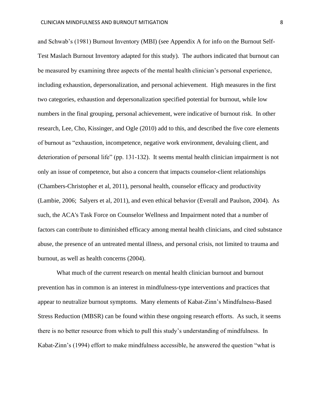and Schwab's (1981) Burnout Inventory (MBI) (see Appendix A for info on the Burnout Self-Test Maslach Burnout Inventory adapted for this study). The authors indicated that burnout can be measured by examining three aspects of the mental health clinician's personal experience, including exhaustion, depersonalization, and personal achievement. High measures in the first two categories, exhaustion and depersonalization specified potential for burnout, while low numbers in the final grouping, personal achievement, were indicative of burnout risk. In other research, Lee, Cho, Kissinger, and Ogle (2010) add to this, and described the five core elements of burnout as "exhaustion, incompetence, negative work environment, devaluing client, and deterioration of personal life" (pp. 131-132). It seems mental health clinician impairment is not only an issue of competence, but also a concern that impacts counselor-client relationships (Chambers-Christopher et al, 2011), personal health, counselor efficacy and productivity (Lambie, 2006; Salyers et al, 2011), and even ethical behavior (Everall and Paulson, 2004). As such, the ACA's Task Force on Counselor Wellness and Impairment noted that a number of factors can contribute to diminished efficacy among mental health clinicians, and cited substance abuse, the presence of an untreated mental illness, and personal crisis, not limited to trauma and burnout, as well as health concerns (2004).

What much of the current research on mental health clinician burnout and burnout prevention has in common is an interest in mindfulness-type interventions and practices that appear to neutralize burnout symptoms. Many elements of Kabat-Zinn's Mindfulness-Based Stress Reduction (MBSR) can be found within these ongoing research efforts. As such, it seems there is no better resource from which to pull this study's understanding of mindfulness. In Kabat-Zinn's (1994) effort to make mindfulness accessible, he answered the question "what is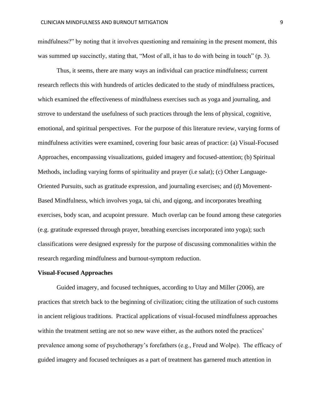mindfulness?" by noting that it involves questioning and remaining in the present moment, this was summed up succinctly, stating that, "Most of all, it has to do with being in touch" (p. 3).

Thus, it seems, there are many ways an individual can practice mindfulness; current research reflects this with hundreds of articles dedicated to the study of mindfulness practices, which examined the effectiveness of mindfulness exercises such as yoga and journaling, and strrove to understand the usefulness of such practices through the lens of physical, cognitive, emotional, and spiritual perspectives. For the purpose of this literature review, varying forms of mindfulness activities were examined, covering four basic areas of practice: (a) Visual-Focused Approaches, encompassing visualizations, guided imagery and focused-attention; (b) Spiritual Methods, including varying forms of spirituality and prayer (i.e salat); (c) Other Language-Oriented Pursuits, such as gratitude expression, and journaling exercises; and (d) Movement-Based Mindfulness, which involves yoga, tai chi, and qigong, and incorporates breathing exercises, body scan, and acupoint pressure. Much overlap can be found among these categories (e.g. gratitude expressed through prayer, breathing exercises incorporated into yoga); such classifications were designed expressly for the purpose of discussing commonalities within the research regarding mindfulness and burnout-symptom reduction.

#### **Visual-Focused Approaches**

Guided imagery, and focused techniques, according to Utay and Miller (2006), are practices that stretch back to the beginning of civilization; citing the utilization of such customs in ancient religious traditions. Practical applications of visual-focused mindfulness approaches within the treatment setting are not so new wave either, as the authors noted the practices' prevalence among some of psychotherapy's forefathers (e.g., Freud and Wolpe). The efficacy of guided imagery and focused techniques as a part of treatment has garnered much attention in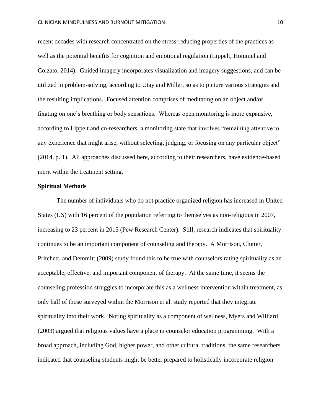recent decades with research concentrated on the stress-reducing properties of the practices as well as the potential benefits for cognition and emotional regulation (Lippelt, Hommel and Colzato, 2014). Guided imagery incorporates visualization and imagery suggestions, and can be utilized in problem-solving, according to Utay and Miller, so as to picture various strategies and the resulting implications. Focused attention comprises of meditating on an object and/or fixating on one's breathing or body sensations. Whereas open monitoring is more expansive, according to Lippelt and co-researchers, a monitoring state that involves "remaining attentive to any experience that might arise, without selecting, judging, or focusing on any particular object" (2014, p. 1). All approaches discussed here, according to their researchers, have evidence-based merit within the treatment setting.

#### **Spiritual Methods**

The number of individuals who do not practice organized religion has increased in United States (US) with 16 percent of the population referring to themselves as non-religious in 2007, increasing to 23 percent in 2015 (Pew Research Center). Still, research indicates that spirituality continues to be an important component of counseling and therapy. A Morrison, Clutter, Pritchett, and Demmitt (2009) study found this to be true with counselors rating spirituality as an acceptable, effective, and important component of therapy. At the same time, it seems the counseling profession struggles to incorporate this as a wellness intervention within treatment, as only half of those surveyed within the Morrison et al. study reported that they integrate spirituality into their work. Noting spirituality as a component of wellness, Myers and Williard (2003) argued that religious values have a place in counselor education programming. With a broad approach, including God, higher power, and other cultural traditions, the same researchers indicated that counseling students might be better prepared to holistically incorporate religion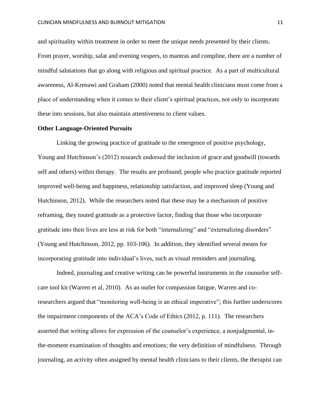and spirituality within treatment in order to meet the unique needs presented by their clients. From prayer, worship, salat and evening vespers, to mantras and compline, there are a number of mindful salutations that go along with religious and spiritual practice. As a part of multicultural awareness, Al-Krenawi and Graham (2000) noted that mental health clinicians must come from a place of understanding when it comes to their client's spiritual practices, not only to incorporate these into sessions, but also maintain attentiveness to client values.

#### **Other Language-Oriented Pursuits**

Linking the growing practice of gratitude to the emergence of positive psychology, Young and Hutchinson's (2012) research endorsed the inclusion of grace and goodwill (towards self and others) within therapy. The results are profound; people who practice gratitude reported improved well-being and happiness, relationship satisfaction, and improved sleep (Young and Hutchinson, 2012). While the researchers noted that these may be a mechanism of positive reframing, they touted gratitude as a protective factor, finding that those who incorporate gratitude into their lives are less at risk for both "internalizing" and "externalizing disorders" (Young and Hutchinson, 2012, pp. 103-106). In addition, they identified several means for incorporating gratitude into individual's lives, such as visual reminders and journaling.

Indeed, journaling and creative writing can be powerful instruments in the counselor selfcare tool kit (Warren et al, 2010). As an outlet for compassion fatigue, Warren and coresearchers argued that "monitoring well-being is an ethical imperative"; this further underscores the impairment components of the ACA's Code of Ethics (2012, p. 111). The researchers asserted that writing allows for expression of the counselor's experience, a nonjudgmental, inthe-moment examination of thoughts and emotions; the very definition of mindfulness. Through journaling, an activity often assigned by mental health clinicians to their clients, the therapist can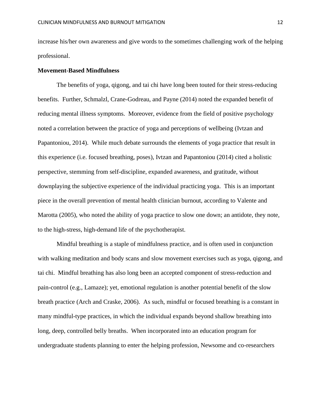increase his/her own awareness and give words to the sometimes challenging work of the helping professional.

#### **Movement-Based Mindfulness**

The benefits of yoga, qigong, and tai chi have long been touted for their stress-reducing benefits. Further, Schmalzl, Crane-Godreau, and Payne (2014) noted the expanded benefit of reducing mental illness symptoms. Moreover, evidence from the field of positive psychology noted a correlation between the practice of yoga and perceptions of wellbeing (Ivtzan and Papantoniou, 2014). While much debate surrounds the elements of yoga practice that result in this experience (i.e. focused breathing, poses), Ivtzan and Papantoniou (2014) cited a holistic perspective, stemming from self-discipline, expanded awareness, and gratitude, without downplaying the subjective experience of the individual practicing yoga. This is an important piece in the overall prevention of mental health clinician burnout, according to Valente and Marotta (2005), who noted the ability of yoga practice to slow one down; an antidote, they note, to the high-stress, high-demand life of the psychotherapist.

Mindful breathing is a staple of mindfulness practice, and is often used in conjunction with walking meditation and body scans and slow movement exercises such as yoga, qigong, and tai chi. Mindful breathing has also long been an accepted component of stress-reduction and pain-control (e.g., Lamaze); yet, emotional regulation is another potential benefit of the slow breath practice (Arch and Craske, 2006). As such, mindful or focused breathing is a constant in many mindful-type practices, in which the individual expands beyond shallow breathing into long, deep, controlled belly breaths. When incorporated into an education program for undergraduate students planning to enter the helping profession, Newsome and co-researchers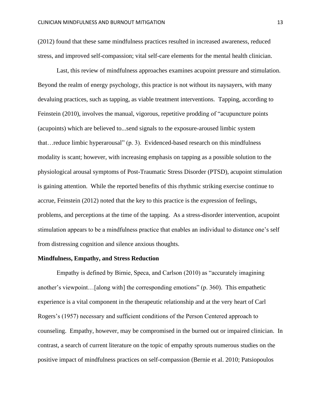(2012) found that these same mindfulness practices resulted in increased awareness, reduced stress, and improved self-compassion; vital self-care elements for the mental health clinician.

Last, this review of mindfulness approaches examines acupoint pressure and stimulation. Beyond the realm of energy psychology, this practice is not without its naysayers, with many devaluing practices, such as tapping, as viable treatment interventions. Tapping, according to Feinstein (2010), involves the manual, vigorous, repetitive prodding of "acupuncture points (acupoints) which are believed to...send signals to the exposure-aroused limbic system that…reduce limbic hyperarousal" (p. 3). Evidenced-based research on this mindfulness modality is scant; however, with increasing emphasis on tapping as a possible solution to the physiological arousal symptoms of Post-Traumatic Stress Disorder (PTSD), acupoint stimulation is gaining attention. While the reported benefits of this rhythmic striking exercise continue to accrue, Feinstein (2012) noted that the key to this practice is the expression of feelings, problems, and perceptions at the time of the tapping. As a stress-disorder intervention, acupoint stimulation appears to be a mindfulness practice that enables an individual to distance one's self from distressing cognition and silence anxious thoughts.

#### **Mindfulness, Empathy, and Stress Reduction**

Empathy is defined by Birnie, Speca, and Carlson (2010) as "accurately imagining another's viewpoint…[along with] the corresponding emotions" (p. 360). This empathetic experience is a vital component in the therapeutic relationship and at the very heart of Carl Rogers's (1957) necessary and sufficient conditions of the Person Centered approach to counseling. Empathy, however, may be compromised in the burned out or impaired clinician. In contrast, a search of current literature on the topic of empathy sprouts numerous studies on the positive impact of mindfulness practices on self-compassion (Bernie et al. 2010; Patsiopoulos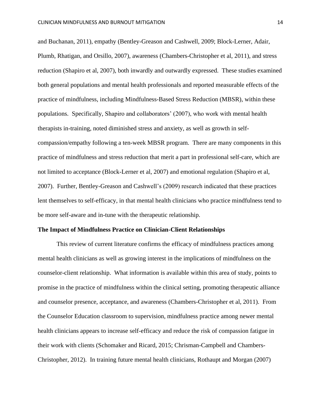and Buchanan, 2011), empathy (Bentley-Greason and Cashwell, 2009; Block-Lerner, Adair, Plumb, Rhatigan, and Orsillo, 2007), awareness (Chambers-Christopher et al, 2011), and stress reduction (Shapiro et al, 2007), both inwardly and outwardly expressed. These studies examined both general populations and mental health professionals and reported measurable effects of the practice of mindfulness, including Mindfulness-Based Stress Reduction (MBSR), within these populations. Specifically, Shapiro and collaborators' (2007), who work with mental health therapists in-training, noted diminished stress and anxiety, as well as growth in selfcompassion/empathy following a ten-week MBSR program. There are many components in this practice of mindfulness and stress reduction that merit a part in professional self-care, which are not limited to acceptance (Block-Lerner et al, 2007) and emotional regulation (Shapiro et al, 2007). Further, Bentley-Greason and Cashwell's (2009) research indicated that these practices lent themselves to self-efficacy, in that mental health clinicians who practice mindfulness tend to be more self-aware and in-tune with the therapeutic relationship.

#### **The Impact of Mindfulness Practice on Clinician-Client Relationships**

This review of current literature confirms the efficacy of mindfulness practices among mental health clinicians as well as growing interest in the implications of mindfulness on the counselor-client relationship. What information is available within this area of study, points to promise in the practice of mindfulness within the clinical setting, promoting therapeutic alliance and counselor presence, acceptance, and awareness (Chambers-Christopher et al, 2011). From the Counselor Education classroom to supervision, mindfulness practice among newer mental health clinicians appears to increase self-efficacy and reduce the risk of compassion fatigue in their work with clients (Schomaker and Ricard, 2015; Chrisman-Campbell and Chambers-Christopher, 2012). In training future mental health clinicians, Rothaupt and Morgan (2007)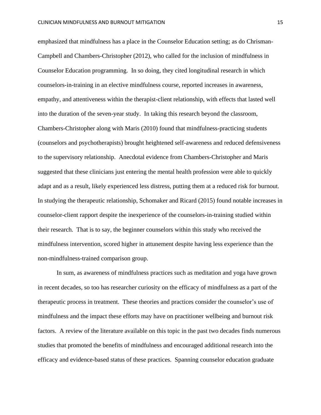emphasized that mindfulness has a place in the Counselor Education setting; as do Chrisman-Campbell and Chambers-Christopher (2012), who called for the inclusion of mindfulness in Counselor Education programming. In so doing, they cited longitudinal research in which counselors-in-training in an elective mindfulness course, reported increases in awareness, empathy, and attentiveness within the therapist-client relationship, with effects that lasted well into the duration of the seven-year study. In taking this research beyond the classroom, Chambers-Christopher along with Maris (2010) found that mindfulness-practicing students (counselors and psychotherapists) brought heightened self-awareness and reduced defensiveness to the supervisory relationship. Anecdotal evidence from Chambers-Christopher and Maris suggested that these clinicians just entering the mental health profession were able to quickly adapt and as a result, likely experienced less distress, putting them at a reduced risk for burnout. In studying the therapeutic relationship, Schomaker and Ricard (2015) found notable increases in counselor-client rapport despite the inexperience of the counselors-in-training studied within their research. That is to say, the beginner counselors within this study who received the mindfulness intervention, scored higher in attunement despite having less experience than the non-mindfulness-trained comparison group.

In sum, as awareness of mindfulness practices such as meditation and yoga have grown in recent decades, so too has researcher curiosity on the efficacy of mindfulness as a part of the therapeutic process in treatment. These theories and practices consider the counselor's use of mindfulness and the impact these efforts may have on practitioner wellbeing and burnout risk factors. A review of the literature available on this topic in the past two decades finds numerous studies that promoted the benefits of mindfulness and encouraged additional research into the efficacy and evidence-based status of these practices. Spanning counselor education graduate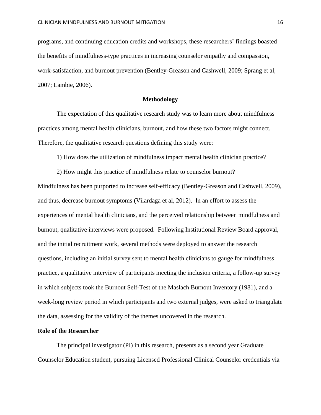programs, and continuing education credits and workshops, these researchers' findings boasted the benefits of mindfulness-type practices in increasing counselor empathy and compassion, work-satisfaction, and burnout prevention (Bentley-Greason and Cashwell, 2009; Sprang et al, 2007; Lambie, 2006).

## **Methodology**

The expectation of this qualitative research study was to learn more about mindfulness practices among mental health clinicians, burnout, and how these two factors might connect. Therefore, the qualitative research questions defining this study were:

1) How does the utilization of mindfulness impact mental health clinician practice?

2) How might this practice of mindfulness relate to counselor burnout?

Mindfulness has been purported to increase self-efficacy (Bentley-Greason and Cashwell, 2009), and thus, decrease burnout symptoms (Vilardaga et al, 2012). In an effort to assess the experiences of mental health clinicians, and the perceived relationship between mindfulness and burnout, qualitative interviews were proposed. Following Institutional Review Board approval, and the initial recruitment work, several methods were deployed to answer the research questions, including an initial survey sent to mental health clinicians to gauge for mindfulness practice, a qualitative interview of participants meeting the inclusion criteria, a follow-up survey in which subjects took the Burnout Self-Test of the Maslach Burnout Inventory (1981), and a week-long review period in which participants and two external judges, were asked to triangulate the data, assessing for the validity of the themes uncovered in the research.

## **Role of the Researcher**

The principal investigator (PI) in this research, presents as a second year Graduate Counselor Education student, pursuing Licensed Professional Clinical Counselor credentials via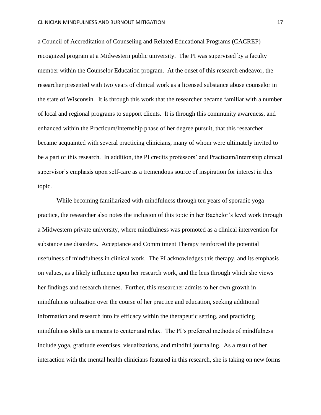a Council of Accreditation of Counseling and Related Educational Programs (CACREP) recognized program at a Midwestern public university. The PI was supervised by a faculty member within the Counselor Education program. At the onset of this research endeavor, the researcher presented with two years of clinical work as a licensed substance abuse counselor in the state of Wisconsin. It is through this work that the researcher became familiar with a number of local and regional programs to support clients. It is through this community awareness, and enhanced within the Practicum/Internship phase of her degree pursuit, that this researcher became acquainted with several practicing clinicians, many of whom were ultimately invited to be a part of this research. In addition, the PI credits professors' and Practicum/Internship clinical supervisor's emphasis upon self-care as a tremendous source of inspiration for interest in this topic.

While becoming familiarized with mindfulness through ten years of sporadic yoga practice, the researcher also notes the inclusion of this topic in her Bachelor's level work through a Midwestern private university, where mindfulness was promoted as a clinical intervention for substance use disorders. Acceptance and Commitment Therapy reinforced the potential usefulness of mindfulness in clinical work. The PI acknowledges this therapy, and its emphasis on values, as a likely influence upon her research work, and the lens through which she views her findings and research themes. Further, this researcher admits to her own growth in mindfulness utilization over the course of her practice and education, seeking additional information and research into its efficacy within the therapeutic setting, and practicing mindfulness skills as a means to center and relax. The PI's preferred methods of mindfulness include yoga, gratitude exercises, visualizations, and mindful journaling. As a result of her interaction with the mental health clinicians featured in this research, she is taking on new forms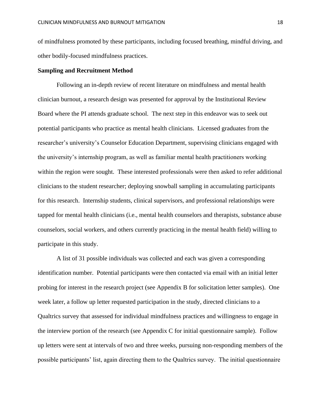of mindfulness promoted by these participants, including focused breathing, mindful driving, and other bodily-focused mindfulness practices.

#### **Sampling and Recruitment Method**

Following an in-depth review of recent literature on mindfulness and mental health clinician burnout, a research design was presented for approval by the Institutional Review Board where the PI attends graduate school. The next step in this endeavor was to seek out potential participants who practice as mental health clinicians. Licensed graduates from the researcher's university's Counselor Education Department, supervising clinicians engaged with the university's internship program, as well as familiar mental health practitioners working within the region were sought. These interested professionals were then asked to refer additional clinicians to the student researcher; deploying snowball sampling in accumulating participants for this research. Internship students, clinical supervisors, and professional relationships were tapped for mental health clinicians (i.e., mental health counselors and therapists, substance abuse counselors, social workers, and others currently practicing in the mental health field) willing to participate in this study.

A list of 31 possible individuals was collected and each was given a corresponding identification number. Potential participants were then contacted via email with an initial letter probing for interest in the research project (see Appendix B for solicitation letter samples). One week later, a follow up letter requested participation in the study, directed clinicians to a Qualtrics survey that assessed for individual mindfulness practices and willingness to engage in the interview portion of the research (see Appendix C for initial questionnaire sample). Follow up letters were sent at intervals of two and three weeks, pursuing non-responding members of the possible participants' list, again directing them to the Qualtrics survey. The initial questionnaire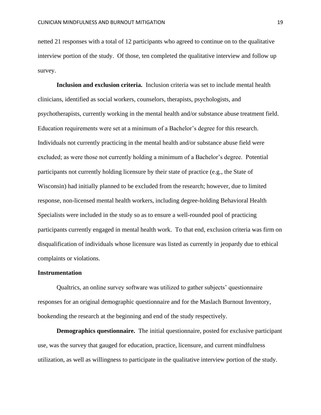netted 21 responses with a total of 12 participants who agreed to continue on to the qualitative interview portion of the study. Of those, ten completed the qualitative interview and follow up survey.

**Inclusion and exclusion criteria.** Inclusion criteria was set to include mental health clinicians, identified as social workers, counselors, therapists, psychologists, and psychotherapists, currently working in the mental health and/or substance abuse treatment field. Education requirements were set at a minimum of a Bachelor's degree for this research. Individuals not currently practicing in the mental health and/or substance abuse field were excluded; as were those not currently holding a minimum of a Bachelor's degree. Potential participants not currently holding licensure by their state of practice (e.g., the State of Wisconsin) had initially planned to be excluded from the research; however, due to limited response, non-licensed mental health workers, including degree-holding Behavioral Health Specialists were included in the study so as to ensure a well-rounded pool of practicing participants currently engaged in mental health work. To that end, exclusion criteria was firm on disqualification of individuals whose licensure was listed as currently in jeopardy due to ethical complaints or violations.

#### **Instrumentation**

Qualtrics, an online survey software was utilized to gather subjects' questionnaire responses for an original demographic questionnaire and for the Maslach Burnout Inventory, bookending the research at the beginning and end of the study respectively.

**Demographics questionnaire.** The initial questionnaire, posted for exclusive participant use, was the survey that gauged for education, practice, licensure, and current mindfulness utilization, as well as willingness to participate in the qualitative interview portion of the study.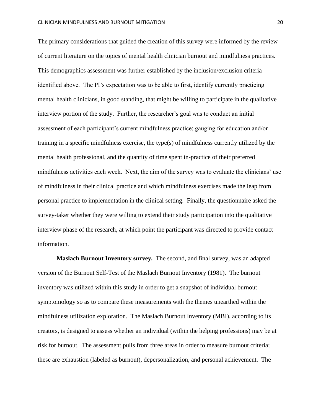The primary considerations that guided the creation of this survey were informed by the review of current literature on the topics of mental health clinician burnout and mindfulness practices. This demographics assessment was further established by the inclusion/exclusion criteria identified above. The PI's expectation was to be able to first, identify currently practicing mental health clinicians, in good standing, that might be willing to participate in the qualitative interview portion of the study. Further, the researcher's goal was to conduct an initial assessment of each participant's current mindfulness practice; gauging for education and/or training in a specific mindfulness exercise, the type(s) of mindfulness currently utilized by the mental health professional, and the quantity of time spent in-practice of their preferred mindfulness activities each week. Next, the aim of the survey was to evaluate the clinicians' use of mindfulness in their clinical practice and which mindfulness exercises made the leap from personal practice to implementation in the clinical setting. Finally, the questionnaire asked the survey-taker whether they were willing to extend their study participation into the qualitative interview phase of the research, at which point the participant was directed to provide contact information.

**Maslach Burnout Inventory survey.** The second, and final survey, was an adapted version of the Burnout Self-Test of the Maslach Burnout Inventory (1981). The burnout inventory was utilized within this study in order to get a snapshot of individual burnout symptomology so as to compare these measurements with the themes unearthed within the mindfulness utilization exploration. The Maslach Burnout Inventory (MBI), according to its creators, is designed to assess whether an individual (within the helping professions) may be at risk for burnout. The assessment pulls from three areas in order to measure burnout criteria; these are exhaustion (labeled as burnout), depersonalization, and personal achievement. The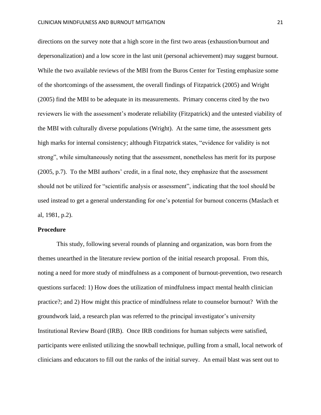directions on the survey note that a high score in the first two areas (exhaustion/burnout and depersonalization) and a low score in the last unit (personal achievement) may suggest burnout. While the two available reviews of the MBI from the Buros Center for Testing emphasize some of the shortcomings of the assessment, the overall findings of Fitzpatrick (2005) and Wright (2005) find the MBI to be adequate in its measurements. Primary concerns cited by the two reviewers lie with the assessment's moderate reliability (Fitzpatrick) and the untested viability of the MBI with culturally diverse populations (Wright). At the same time, the assessment gets high marks for internal consistency; although Fitzpatrick states, "evidence for validity is not strong", while simultaneously noting that the assessment, nonetheless has merit for its purpose (2005, p.7). To the MBI authors' credit, in a final note, they emphasize that the assessment should not be utilized for "scientific analysis or assessment", indicating that the tool should be used instead to get a general understanding for one's potential for burnout concerns (Maslach et al, 1981, p.2).

#### **Procedure**

This study, following several rounds of planning and organization, was born from the themes unearthed in the literature review portion of the initial research proposal. From this, noting a need for more study of mindfulness as a component of burnout-prevention, two research questions surfaced: 1) How does the utilization of mindfulness impact mental health clinician practice?; and 2) How might this practice of mindfulness relate to counselor burnout? With the groundwork laid, a research plan was referred to the principal investigator's university Institutional Review Board (IRB). Once IRB conditions for human subjects were satisfied, participants were enlisted utilizing the snowball technique, pulling from a small, local network of clinicians and educators to fill out the ranks of the initial survey. An email blast was sent out to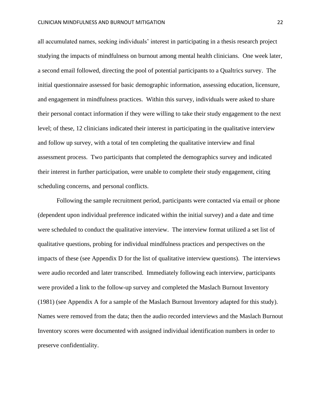all accumulated names, seeking individuals' interest in participating in a thesis research project studying the impacts of mindfulness on burnout among mental health clinicians. One week later, a second email followed, directing the pool of potential participants to a Qualtrics survey. The initial questionnaire assessed for basic demographic information, assessing education, licensure, and engagement in mindfulness practices. Within this survey, individuals were asked to share their personal contact information if they were willing to take their study engagement to the next level; of these, 12 clinicians indicated their interest in participating in the qualitative interview and follow up survey, with a total of ten completing the qualitative interview and final assessment process. Two participants that completed the demographics survey and indicated their interest in further participation, were unable to complete their study engagement, citing scheduling concerns, and personal conflicts.

Following the sample recruitment period, participants were contacted via email or phone (dependent upon individual preference indicated within the initial survey) and a date and time were scheduled to conduct the qualitative interview. The interview format utilized a set list of qualitative questions, probing for individual mindfulness practices and perspectives on the impacts of these (see Appendix D for the list of qualitative interview questions). The interviews were audio recorded and later transcribed. Immediately following each interview, participants were provided a link to the follow-up survey and completed the Maslach Burnout Inventory (1981) (see Appendix A for a sample of the Maslach Burnout Inventory adapted for this study). Names were removed from the data; then the audio recorded interviews and the Maslach Burnout Inventory scores were documented with assigned individual identification numbers in order to preserve confidentiality.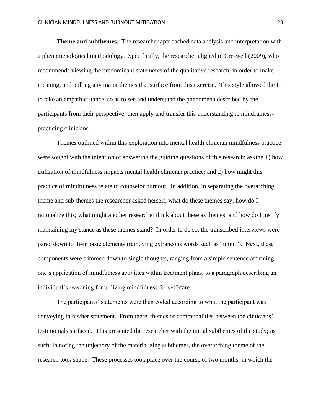**Theme and subthemes.** The researcher approached data analysis and interpretation with a phenomenological methodology. Specifically, the researcher aligned to Creswell (2009), who recommends viewing the predominant statements of the qualitative research, in order to make meaning, and pulling any major themes that surface from this exercise. This style allowed the PI to take an empathic stance, so as to see and understand the phenomena described by the participants from their perspective, then apply and transfer this understanding to mindfulnesspracticing clinicians.

Themes outlined within this exploration into mental health clinician mindfulness practice were sought with the intention of answering the guiding questions of this research; asking 1) how utilization of mindfulness impacts mental health clinician practice; and 2) how might this practice of mindfulness relate to counselor burnout. In addition, in separating the overarching theme and sub-themes the researcher asked herself, what do these themes say; how do I rationalize this; what might another researcher think about these as themes; and how do I justify maintaining my stance as these themes stand? In order to do so, the transcribed interviews were pared down to their basic elements (removing extraneous words such as "umm"). Next, these components were trimmed down to single thoughts, ranging from a simple sentence affirming one's application of mindfulness activities within treatment plans, to a paragraph describing an individual's reasoning for utilizing mindfulness for self-care.

The participants' statements were then coded according to what the participant was conveying in his/her statement. From there, themes or commonalities between the clinicians' testimonials surfaced. This presented the researcher with the initial subthemes of the study; as such, in noting the trajectory of the materializing subthemes, the overarching theme of the research took shape. These processes took place over the course of two months, in which the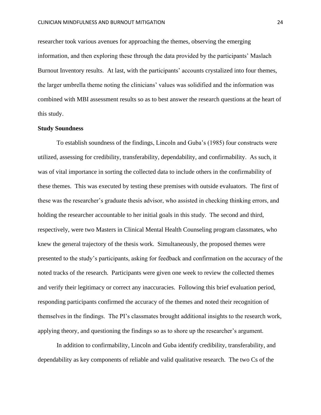researcher took various avenues for approaching the themes, observing the emerging information, and then exploring these through the data provided by the participants' Maslach Burnout Inventory results. At last, with the participants' accounts crystalized into four themes, the larger umbrella theme noting the clinicians' values was solidified and the information was combined with MBI assessment results so as to best answer the research questions at the heart of this study.

#### **Study Soundness**

To establish soundness of the findings, Lincoln and Guba's (1985) four constructs were utilized, assessing for credibility, transferability, dependability, and confirmability. As such, it was of vital importance in sorting the collected data to include others in the confirmability of these themes. This was executed by testing these premises with outside evaluators. The first of these was the researcher's graduate thesis advisor, who assisted in checking thinking errors, and holding the researcher accountable to her initial goals in this study. The second and third, respectively, were two Masters in Clinical Mental Health Counseling program classmates, who knew the general trajectory of the thesis work. Simultaneously, the proposed themes were presented to the study's participants, asking for feedback and confirmation on the accuracy of the noted tracks of the research. Participants were given one week to review the collected themes and verify their legitimacy or correct any inaccuracies. Following this brief evaluation period, responding participants confirmed the accuracy of the themes and noted their recognition of themselves in the findings. The PI's classmates brought additional insights to the research work, applying theory, and questioning the findings so as to shore up the researcher's argument.

In addition to confirmability, Lincoln and Guba identify credibility, transferability, and dependability as key components of reliable and valid qualitative research. The two Cs of the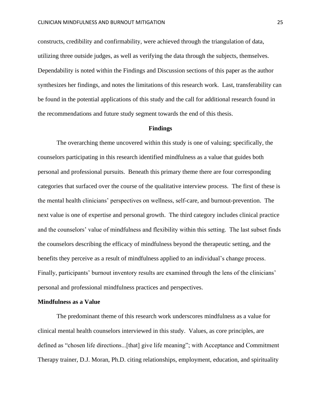constructs, credibility and confirmability, were achieved through the triangulation of data, utilizing three outside judges, as well as verifying the data through the subjects, themselves. Dependability is noted within the Findings and Discussion sections of this paper as the author synthesizes her findings, and notes the limitations of this research work. Last, transferability can be found in the potential applications of this study and the call for additional research found in the recommendations and future study segment towards the end of this thesis.

#### **Findings**

The overarching theme uncovered within this study is one of valuing; specifically, the counselors participating in this research identified mindfulness as a value that guides both personal and professional pursuits. Beneath this primary theme there are four corresponding categories that surfaced over the course of the qualitative interview process. The first of these is the mental health clinicians' perspectives on wellness, self-care, and burnout-prevention. The next value is one of expertise and personal growth. The third category includes clinical practice and the counselors' value of mindfulness and flexibility within this setting. The last subset finds the counselors describing the efficacy of mindfulness beyond the therapeutic setting, and the benefits they perceive as a result of mindfulness applied to an individual's change process. Finally, participants' burnout inventory results are examined through the lens of the clinicians' personal and professional mindfulness practices and perspectives.

#### **Mindfulness as a Value**

The predominant theme of this research work underscores mindfulness as a value for clinical mental health counselors interviewed in this study. Values, as core principles, are defined as "chosen life directions...[that] give life meaning"; with Acceptance and Commitment Therapy trainer, D.J. Moran, Ph.D. citing relationships, employment, education, and spirituality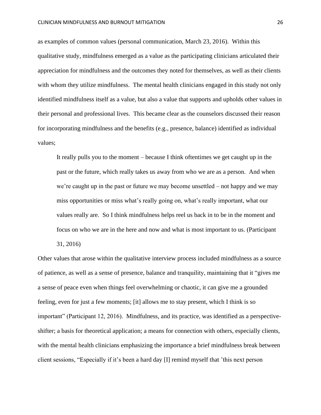as examples of common values (personal communication, March 23, 2016). Within this qualitative study, mindfulness emerged as a value as the participating clinicians articulated their appreciation for mindfulness and the outcomes they noted for themselves, as well as their clients with whom they utilize mindfulness. The mental health clinicians engaged in this study not only identified mindfulness itself as a value, but also a value that supports and upholds other values in their personal and professional lives. This became clear as the counselors discussed their reason for incorporating mindfulness and the benefits (e.g., presence, balance) identified as individual values;

It really pulls you to the moment – because I think oftentimes we get caught up in the past or the future, which really takes us away from who we are as a person. And when we're caught up in the past or future we may become unsettled – not happy and we may miss opportunities or miss what's really going on, what's really important, what our values really are. So I think mindfulness helps reel us back in to be in the moment and focus on who we are in the here and now and what is most important to us. (Participant 31, 2016)

Other values that arose within the qualitative interview process included mindfulness as a source of patience, as well as a sense of presence, balance and tranquility, maintaining that it "gives me a sense of peace even when things feel overwhelming or chaotic, it can give me a grounded feeling, even for just a few moments; [it] allows me to stay present, which I think is so important" (Participant 12, 2016). Mindfulness, and its practice, was identified as a perspectiveshifter; a basis for theoretical application; a means for connection with others, especially clients, with the mental health clinicians emphasizing the importance a brief mindfulness break between client sessions, "Especially if it's been a hard day [I] remind myself that 'this next person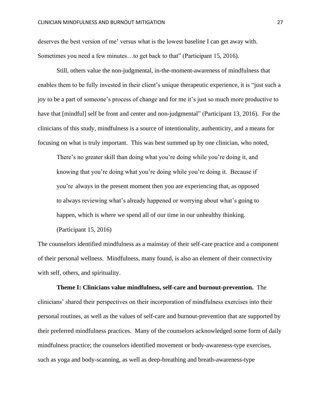deserves the best version of me' versus what is the lowest baseline I can get away with. Sometimes you need a few minutes…to get back to that" (Participant 15, 2016).

Still, others value the non-judgmental, in-the-moment-awareness of mindfulness that enables them to be fully invested in their client's unique therapeutic experience, it is "just such a joy to be a part of someone's process of change and for me it's just so much more productive to have that [mindful] self be front and center and non-judgmental" (Participant 13, 2016). For the clinicians of this study, mindfulness is a source of intentionality, authenticity, and a means for focusing on what is truly important. This was best summed up by one clinician, who noted,

There's no greater skill than doing what you're doing while you're doing it, and knowing that you're doing what you're doing while you're doing it. Because if you're always in the present moment then you are experiencing that, as opposed to always reviewing what's already happened or worrying about what's going to happen, which is where we spend all of our time in our unhealthy thinking.

(Participant 15, 2016)

The counselors identified mindfulness as a mainstay of their self-care practice and a component of their personal wellness. Mindfulness, many found, is also an element of their connectivity with self, others, and spirituality.

**Theme I: Clinicians value mindfulness, self-care and burnout-prevention.** The clinicians' shared their perspectives on their incorporation of mindfulness exercises into their personal routines, as well as the values of self-care and burnout-prevention that are supported by their preferred mindfulness practices. Many of the counselors acknowledged some form of daily mindfulness practice; the counselors identified movement or body-awareness-type exercises, such as yoga and body-scanning, as well as deep-breathing and breath-awareness-type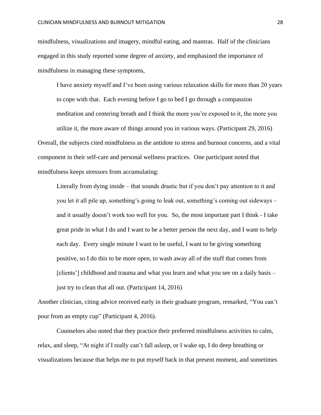mindfulness, visualizations and imagery, mindful eating, and mantras. Half of the clinicians engaged in this study reported some degree of anxiety, and emphasized the importance of mindfulness in managing these symptoms,

I have anxiety myself and I've been using various relaxation skills for more than 20 years to cope with that. Each evening before I go to bed I go through a compassion meditation and centering breath and I think the more you're exposed to it, the more you

utilize it, the more aware of things around you in various ways. (Participant 29, 2016)

Overall, the subjects cited mindfulness as the antidote to stress and burnout concerns, and a vital component in their self-care and personal wellness practices. One participant noted that mindfulness keeps stressors from accumulating:

Literally from dying inside – that sounds drastic but if you don't pay attention to it and you let it all pile up, something's going to leak out, something's coming out sideways – and it usually doesn't work too well for you. So, the most important part I think - I take great pride in what I do and I want to be a better person the next day, and I want to help each day. Every single minute I want to be useful, I want to be giving something positive, so I do this to be more open, to wash away all of the stuff that comes from [clients'] childhood and trauma and what you learn and what you see on a daily basis – just try to clean that all out. (Participant 14, 2016)

Another clinician, citing advice received early in their graduate program, remarked, "You can't pour from an empty cup" (Participant 4, 2016).

Counselors also noted that they practice their preferred mindfulness activities to calm, relax, and sleep, "At night if I really can't fall asleep, or I wake up, I do deep breathing or visualizations because that helps me to put myself back in that present moment, and sometimes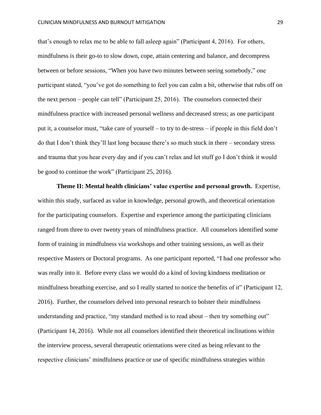that's enough to relax me to be able to fall asleep again" (Participant 4, 2016). For others, mindfulness is their go-to to slow down, cope, attain centering and balance, and decompress between or before sessions, "When you have two minutes between seeing somebody," one participant stated, "you've got do something to feel you can calm a bit, otherwise that rubs off on the next person – people can tell" (Participant 25, 2016). The counselors connected their mindfulness practice with increased personal wellness and decreased stress; as one participant put it, a counselor must, "take care of yourself – to try to de-stress – if people in this field don't do that I don't think they'll last long because there's so much stuck in there – secondary stress and trauma that you hear every day and if you can't relax and let stuff go I don't think it would be good to continue the work" (Participant 25, 2016).

**Theme II: Mental health clinicians' value expertise and personal growth.** Expertise, within this study, surfaced as value in knowledge, personal growth, and theoretical orientation for the participating counselors. Expertise and experience among the participating clinicians ranged from three to over twenty years of mindfulness practice. All counselors identified some form of training in mindfulness via workshops and other training sessions, as well as their respective Masters or Doctoral programs. As one participant reported, "I had one professor who was really into it. Before every class we would do a kind of loving kindness meditation or mindfulness breathing exercise, and so I really started to notice the benefits of it" (Participant 12, 2016). Further, the counselors delved into personal research to bolster their mindfulness understanding and practice, "my standard method is to read about – then try something out" (Participant 14, 2016). While not all counselors identified their theoretical inclinations within the interview process, several therapeutic orientations were cited as being relevant to the respective clinicians' mindfulness practice or use of specific mindfulness strategies within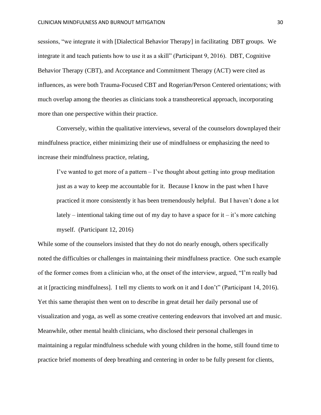sessions, "we integrate it with [Dialectical Behavior Therapy] in facilitating DBT groups. We integrate it and teach patients how to use it as a skill" (Participant 9, 2016). DBT, Cognitive Behavior Therapy (CBT), and Acceptance and Commitment Therapy (ACT) were cited as influences, as were both Trauma-Focused CBT and Rogerian/Person Centered orientations; with much overlap among the theories as clinicians took a transtheoretical approach, incorporating more than one perspective within their practice.

Conversely, within the qualitative interviews, several of the counselors downplayed their mindfulness practice, either minimizing their use of mindfulness or emphasizing the need to increase their mindfulness practice, relating,

I've wanted to get more of a pattern  $-$  I've thought about getting into group meditation just as a way to keep me accountable for it. Because I know in the past when I have practiced it more consistently it has been tremendously helpful. But I haven't done a lot lately – intentional taking time out of my day to have a space for it – it's more catching myself. (Participant 12, 2016)

While some of the counselors insisted that they do not do nearly enough, others specifically noted the difficulties or challenges in maintaining their mindfulness practice. One such example of the former comes from a clinician who, at the onset of the interview, argued, "I'm really bad at it [practicing mindfulness]. I tell my clients to work on it and I don't" (Participant 14, 2016). Yet this same therapist then went on to describe in great detail her daily personal use of visualization and yoga, as well as some creative centering endeavors that involved art and music. Meanwhile, other mental health clinicians, who disclosed their personal challenges in maintaining a regular mindfulness schedule with young children in the home, still found time to practice brief moments of deep breathing and centering in order to be fully present for clients,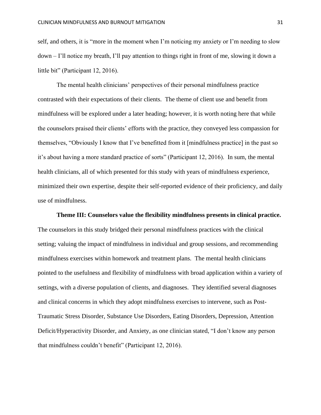self, and others, it is "more in the moment when I'm noticing my anxiety or I'm needing to slow down – I'll notice my breath, I'll pay attention to things right in front of me, slowing it down a little bit" (Participant 12, 2016).

The mental health clinicians' perspectives of their personal mindfulness practice contrasted with their expectations of their clients. The theme of client use and benefit from mindfulness will be explored under a later heading; however, it is worth noting here that while the counselors praised their clients' efforts with the practice, they conveyed less compassion for themselves, "Obviously I know that I've benefitted from it [mindfulness practice] in the past so it's about having a more standard practice of sorts" (Participant 12, 2016). In sum, the mental health clinicians, all of which presented for this study with years of mindfulness experience, minimized their own expertise, despite their self-reported evidence of their proficiency, and daily use of mindfulness.

**Theme III: Counselors value the flexibility mindfulness presents in clinical practice.**  The counselors in this study bridged their personal mindfulness practices with the clinical setting; valuing the impact of mindfulness in individual and group sessions, and recommending mindfulness exercises within homework and treatment plans. The mental health clinicians pointed to the usefulness and flexibility of mindfulness with broad application within a variety of settings, with a diverse population of clients, and diagnoses. They identified several diagnoses and clinical concerns in which they adopt mindfulness exercises to intervene, such as Post-Traumatic Stress Disorder, Substance Use Disorders, Eating Disorders, Depression, Attention Deficit/Hyperactivity Disorder, and Anxiety, as one clinician stated, "I don't know any person that mindfulness couldn't benefit" (Participant 12, 2016).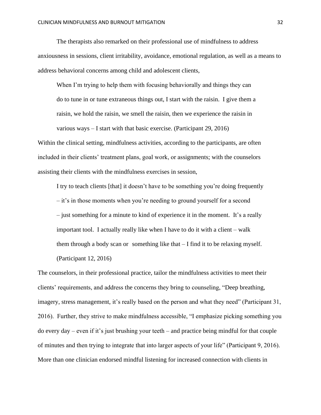The therapists also remarked on their professional use of mindfulness to address anxiousness in sessions, client irritability, avoidance, emotional regulation, as well as a means to address behavioral concerns among child and adolescent clients,

When I'm trying to help them with focusing behaviorally and things they can do to tune in or tune extraneous things out, I start with the raisin. I give them a raisin, we hold the raisin, we smell the raisin, then we experience the raisin in various ways – I start with that basic exercise. (Participant 29, 2016)

Within the clinical setting, mindfulness activities, according to the participants, are often included in their clients' treatment plans, goal work, or assignments; with the counselors assisting their clients with the mindfulness exercises in session,

I try to teach clients [that] it doesn't have to be something you're doing frequently – it's in those moments when you're needing to ground yourself for a second – just something for a minute to kind of experience it in the moment. It's a really important tool. I actually really like when I have to do it with a client – walk them through a body scan or something like that – I find it to be relaxing myself. (Participant 12, 2016)

The counselors, in their professional practice, tailor the mindfulness activities to meet their clients' requirements, and address the concerns they bring to counseling, "Deep breathing, imagery, stress management, it's really based on the person and what they need" (Participant 31, 2016). Further, they strive to make mindfulness accessible, "I emphasize picking something you do every day – even if it's just brushing your teeth – and practice being mindful for that couple of minutes and then trying to integrate that into larger aspects of your life" (Participant 9, 2016). More than one clinician endorsed mindful listening for increased connection with clients in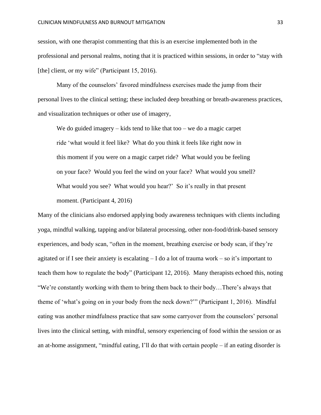session, with one therapist commenting that this is an exercise implemented both in the professional and personal realms, noting that it is practiced within sessions, in order to "stay with [the] client, or my wife" (Participant 15, 2016).

Many of the counselors' favored mindfulness exercises made the jump from their personal lives to the clinical setting; these included deep breathing or breath-awareness practices, and visualization techniques or other use of imagery,

We do guided imagery  $-$  kids tend to like that too  $-$  we do a magic carpet ride 'what would it feel like? What do you think it feels like right now in this moment if you were on a magic carpet ride? What would you be feeling on your face? Would you feel the wind on your face? What would you smell? What would you see? What would you hear?' So it's really in that present moment. (Participant 4, 2016)

Many of the clinicians also endorsed applying body awareness techniques with clients including yoga, mindful walking, tapping and/or bilateral processing, other non-food/drink-based sensory experiences, and body scan, "often in the moment, breathing exercise or body scan, if they're agitated or if I see their anxiety is escalating  $- I$  do a lot of trauma work – so it's important to teach them how to regulate the body" (Participant 12, 2016). Many therapists echoed this, noting "We're constantly working with them to bring them back to their body…There's always that theme of 'what's going on in your body from the neck down?'" (Participant 1, 2016). Mindful eating was another mindfulness practice that saw some carryover from the counselors' personal lives into the clinical setting, with mindful, sensory experiencing of food within the session or as an at-home assignment, "mindful eating, I'll do that with certain people – if an eating disorder is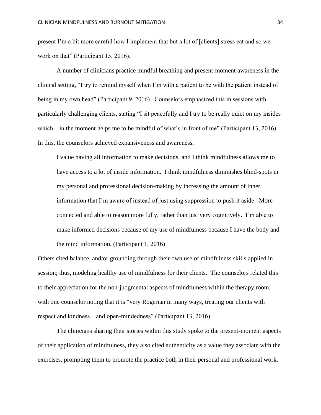present I'm a bit more careful how I implement that but a lot of [clients] stress eat and so we work on that" (Participant 15, 2016).

A number of clinicians practice mindful breathing and present-moment awareness in the clinical setting, "I try to remind myself when I'm with a patient to be with the patient instead of being in my own head" (Participant 9, 2016). Counselors emphasized this in sessions with particularly challenging clients, stating "I sit peacefully and I try to be really quiet on my insides which... in the moment helps me to be mindful of what's in front of me" (Participant 13, 2016). In this, the counselors achieved expansiveness and awareness,

I value having all information to make decisions, and I think mindfulness allows me to have access to a lot of inside information. I think mindfulness diminishes blind-spots in my personal and professional decision-making by increasing the amount of inner information that I'm aware of instead of just using suppression to push it aside. More connected and able to reason more fully, rather than just very cognitively. I'm able to make informed decisions because of my use of mindfulness because I have the body and the mind information. (Participant 1, 2016)

Others cited balance, and/or grounding through their own use of mindfulness skills applied in session; thus, modeling healthy use of mindfulness for their clients. The counselors related this to their appreciation for the non-judgmental aspects of mindfulness within the therapy room, with one counselor noting that it is "very Rogerian in many ways, treating our clients with respect and kindness…and open-mindedness" (Participant 13, 2016).

The clinicians sharing their stories within this study spoke to the present-moment aspects of their application of mindfulness, they also cited authenticity as a value they associate with the exercises, prompting them to promote the practice both in their personal and professional work.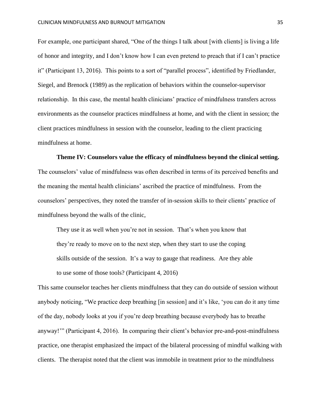For example, one participant shared, "One of the things I talk about [with clients] is living a life of honor and integrity, and I don't know how I can even pretend to preach that if I can't practice it" (Participant 13, 2016). This points to a sort of "parallel process", identified by Friedlander, Siegel, and Brenock (1989) as the replication of behaviors within the counselor-supervisor relationship. In this case, the mental health clinicians' practice of mindfulness transfers across environments as the counselor practices mindfulness at home, and with the client in session; the client practices mindfulness in session with the counselor, leading to the client practicing mindfulness at home.

#### **Theme IV: Counselors value the efficacy of mindfulness beyond the clinical setting.**

The counselors' value of mindfulness was often described in terms of its perceived benefits and the meaning the mental health clinicians' ascribed the practice of mindfulness. From the counselors' perspectives, they noted the transfer of in-session skills to their clients' practice of mindfulness beyond the walls of the clinic,

They use it as well when you're not in session. That's when you know that they're ready to move on to the next step, when they start to use the coping skills outside of the session. It's a way to gauge that readiness. Are they able to use some of those tools? (Participant 4, 2016)

This same counselor teaches her clients mindfulness that they can do outside of session without anybody noticing, "We practice deep breathing [in session] and it's like, 'you can do it any time of the day, nobody looks at you if you're deep breathing because everybody has to breathe anyway!'" (Participant 4, 2016). In comparing their client's behavior pre-and-post-mindfulness practice, one therapist emphasized the impact of the bilateral processing of mindful walking with clients. The therapist noted that the client was immobile in treatment prior to the mindfulness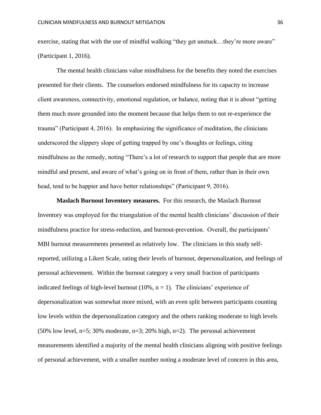exercise, stating that with the use of mindful walking "they get unstuck...they're more aware" (Participant 1, 2016).

The mental health clinicians value mindfulness for the benefits they noted the exercises presented for their clients. The counselors endorsed mindfulness for its capacity to increase client awareness, connectivity, emotional regulation, or balance, noting that it is about "getting them much more grounded into the moment because that helps them to not re-experience the trauma" (Participant 4, 2016). In emphasizing the significance of meditation, the clinicians underscored the slippery slope of getting trapped by one's thoughts or feelings, citing mindfulness as the remedy, noting "There's a lot of research to support that people that are more mindful and present, and aware of what's going on in front of them, rather than in their own head, tend to be happier and have better relationships" (Participant 9, 2016).

**Maslach Burnout Inventory measures.** For this research, the Maslach Burnout Inventory was employed for the triangulation of the mental health clinicians' discussion of their mindfulness practice for stress-reduction, and burnout-prevention. Overall, the participants' MBI burnout measurements presented as relatively low. The clinicians in this study selfreported, utilizing a Likert Scale, rating their levels of burnout, depersonalization, and feelings of personal achievement. Within the burnout category a very small fraction of participants indicated feelings of high-level burnout (10%,  $n = 1$ ). The clinicians' experience of depersonalization was somewhat more mixed, with an even split between participants counting low levels within the depersonalization category and the others ranking moderate to high levels (50% low level,  $n=5$ ; 30% moderate,  $n=3$ ; 20% high,  $n=2$ ). The personal achievement measurements identified a majority of the mental health clinicians aligning with positive feelings of personal achievement, with a smaller number noting a moderate level of concern in this area,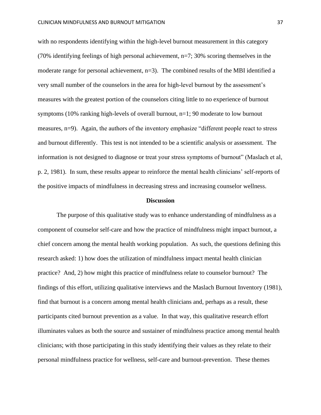with no respondents identifying within the high-level burnout measurement in this category (70% identifying feelings of high personal achievement, n=7; 30% scoring themselves in the moderate range for personal achievement, n=3). The combined results of the MBI identified a very small number of the counselors in the area for high-level burnout by the assessment's measures with the greatest portion of the counselors citing little to no experience of burnout symptoms (10% ranking high-levels of overall burnout, n=1; 90 moderate to low burnout measures, n=9). Again, the authors of the inventory emphasize "different people react to stress and burnout differently. This test is not intended to be a scientific analysis or assessment. The information is not designed to diagnose or treat your stress symptoms of burnout" (Maslach et al, p. 2, 1981). In sum, these results appear to reinforce the mental health clinicians' self-reports of the positive impacts of mindfulness in decreasing stress and increasing counselor wellness.

#### **Discussion**

The purpose of this qualitative study was to enhance understanding of mindfulness as a component of counselor self-care and how the practice of mindfulness might impact burnout, a chief concern among the mental health working population. As such, the questions defining this research asked: 1) how does the utilization of mindfulness impact mental health clinician practice? And, 2) how might this practice of mindfulness relate to counselor burnout? The findings of this effort, utilizing qualitative interviews and the Maslach Burnout Inventory (1981), find that burnout is a concern among mental health clinicians and, perhaps as a result, these participants cited burnout prevention as a value. In that way, this qualitative research effort illuminates values as both the source and sustainer of mindfulness practice among mental health clinicians; with those participating in this study identifying their values as they relate to their personal mindfulness practice for wellness, self-care and burnout-prevention. These themes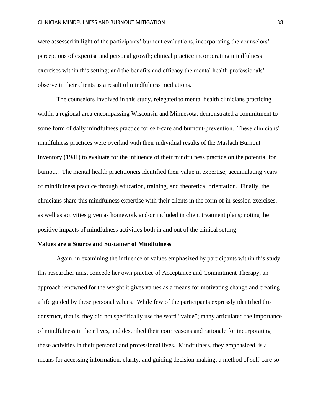were assessed in light of the participants' burnout evaluations, incorporating the counselors' perceptions of expertise and personal growth; clinical practice incorporating mindfulness exercises within this setting; and the benefits and efficacy the mental health professionals' observe in their clients as a result of mindfulness mediations.

The counselors involved in this study, relegated to mental health clinicians practicing within a regional area encompassing Wisconsin and Minnesota, demonstrated a commitment to some form of daily mindfulness practice for self-care and burnout-prevention. These clinicians' mindfulness practices were overlaid with their individual results of the Maslach Burnout Inventory (1981) to evaluate for the influence of their mindfulness practice on the potential for burnout. The mental health practitioners identified their value in expertise, accumulating years of mindfulness practice through education, training, and theoretical orientation. Finally, the clinicians share this mindfulness expertise with their clients in the form of in-session exercises, as well as activities given as homework and/or included in client treatment plans; noting the positive impacts of mindfulness activities both in and out of the clinical setting.

#### **Values are a Source and Sustainer of Mindfulness**

Again, in examining the influence of values emphasized by participants within this study, this researcher must concede her own practice of Acceptance and Commitment Therapy, an approach renowned for the weight it gives values as a means for motivating change and creating a life guided by these personal values. While few of the participants expressly identified this construct, that is, they did not specifically use the word "value"; many articulated the importance of mindfulness in their lives, and described their core reasons and rationale for incorporating these activities in their personal and professional lives. Mindfulness, they emphasized, is a means for accessing information, clarity, and guiding decision-making; a method of self-care so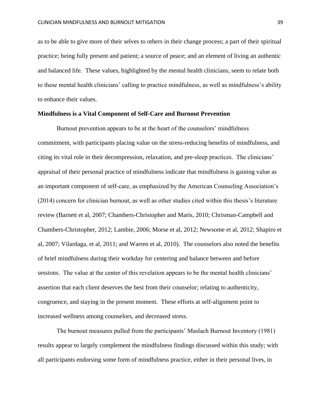as to be able to give more of their selves to others in their change process; a part of their spiritual practice; being fully present and patient; a source of peace; and an element of living an authentic and balanced life. These values, highlighted by the mental health clinicians, seem to relate both to these mental health clinicians' calling to practice mindfulness, as well as mindfulness's ability to enhance their values.

#### **Mindfulness is a Vital Component of Self-Care and Burnout Prevention**

Burnout prevention appears to be at the heart of the counselors' mindfulness commitment, with participants placing value on the stress-reducing benefits of mindfulness, and citing its vital role in their decompression, relaxation, and pre-sleep practices. The clinicians' appraisal of their personal practice of mindfulness indicate that mindfulness is gaining value as an important component of self-care, as emphasized by the American Counseling Association's (2014) concern for clinician burnout, as well as other studies cited within this thesis's literature review (Barnett et al, 2007; Chambers-Christopher and Maris, 2010; Chrisman-Campbell and Chambers-Christopher, 2012; Lambie, 2006; Morse et al, 2012; Newsome et al, 2012; Shapiro et al, 2007; Vilardaga, et al, 2011; and Warren et al, 2010). The counselors also noted the benefits of brief mindfulness during their workday for centering and balance between and before sessions. The value at the center of this revelation appears to be the mental health clinicians' assertion that each client deserves the best from their counselor; relating to authenticity, congruence, and staying in the present moment. These efforts at self-alignment point to increased wellness among counselors, and decreased stress.

The burnout measures pulled from the participants' Maslach Burnout Inventory (1981) results appear to largely complement the mindfulness findings discussed within this study; with all participants endorsing some form of mindfulness practice, either in their personal lives, in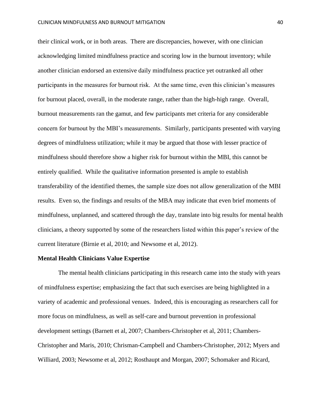their clinical work, or in both areas. There are discrepancies, however, with one clinician acknowledging limited mindfulness practice and scoring low in the burnout inventory; while another clinician endorsed an extensive daily mindfulness practice yet outranked all other participants in the measures for burnout risk. At the same time, even this clinician's measures for burnout placed, overall, in the moderate range, rather than the high-high range. Overall, burnout measurements ran the gamut, and few participants met criteria for any considerable concern for burnout by the MBI's measurements. Similarly, participants presented with varying degrees of mindfulness utilization; while it may be argued that those with lesser practice of mindfulness should therefore show a higher risk for burnout within the MBI, this cannot be entirely qualified. While the qualitative information presented is ample to establish transferability of the identified themes, the sample size does not allow generalization of the MBI results. Even so, the findings and results of the MBA may indicate that even brief moments of mindfulness, unplanned, and scattered through the day, translate into big results for mental health clinicians, a theory supported by some of the researchers listed within this paper's review of the current literature (Birnie et al, 2010; and Newsome et al, 2012).

#### **Mental Health Clinicians Value Expertise**

The mental health clinicians participating in this research came into the study with years of mindfulness expertise; emphasizing the fact that such exercises are being highlighted in a variety of academic and professional venues. Indeed, this is encouraging as researchers call for more focus on mindfulness, as well as self-care and burnout prevention in professional development settings (Barnett et al, 2007; Chambers-Christopher et al, 2011; Chambers-Christopher and Maris, 2010; Chrisman-Campbell and Chambers-Christopher, 2012; Myers and Williard, 2003; Newsome et al, 2012; Rosthaupt and Morgan, 2007; Schomaker and Ricard,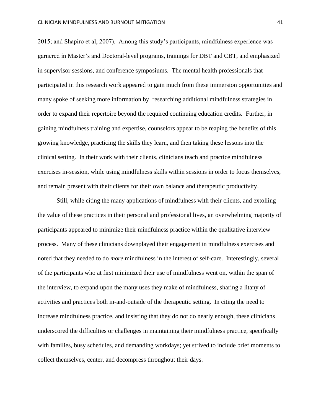2015; and Shapiro et al, 2007). Among this study's participants, mindfulness experience was garnered in Master's and Doctoral-level programs, trainings for DBT and CBT, and emphasized in supervisor sessions, and conference symposiums. The mental health professionals that participated in this research work appeared to gain much from these immersion opportunities and many spoke of seeking more information by researching additional mindfulness strategies in order to expand their repertoire beyond the required continuing education credits. Further, in gaining mindfulness training and expertise, counselors appear to be reaping the benefits of this growing knowledge, practicing the skills they learn, and then taking these lessons into the clinical setting. In their work with their clients, clinicians teach and practice mindfulness exercises in-session, while using mindfulness skills within sessions in order to focus themselves, and remain present with their clients for their own balance and therapeutic productivity.

Still, while citing the many applications of mindfulness with their clients, and extolling the value of these practices in their personal and professional lives, an overwhelming majority of participants appeared to minimize their mindfulness practice within the qualitative interview process. Many of these clinicians downplayed their engagement in mindfulness exercises and noted that they needed to do *more* mindfulness in the interest of self-care. Interestingly, several of the participants who at first minimized their use of mindfulness went on, within the span of the interview, to expand upon the many uses they make of mindfulness, sharing a litany of activities and practices both in-and-outside of the therapeutic setting. In citing the need to increase mindfulness practice, and insisting that they do not do nearly enough, these clinicians underscored the difficulties or challenges in maintaining their mindfulness practice, specifically with families, busy schedules, and demanding workdays; yet strived to include brief moments to collect themselves, center, and decompress throughout their days.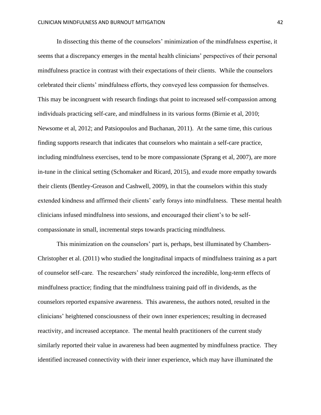In dissecting this theme of the counselors' minimization of the mindfulness expertise, it seems that a discrepancy emerges in the mental health clinicians' perspectives of their personal mindfulness practice in contrast with their expectations of their clients. While the counselors celebrated their clients' mindfulness efforts, they conveyed less compassion for themselves. This may be incongruent with research findings that point to increased self-compassion among individuals practicing self-care, and mindfulness in its various forms (Birnie et al, 2010; Newsome et al, 2012; and Patsiopoulos and Buchanan, 2011). At the same time, this curious finding supports research that indicates that counselors who maintain a self-care practice, including mindfulness exercises, tend to be more compassionate (Sprang et al, 2007), are more in-tune in the clinical setting (Schomaker and Ricard, 2015), and exude more empathy towards their clients (Bentley-Greason and Cashwell, 2009), in that the counselors within this study extended kindness and affirmed their clients' early forays into mindfulness. These mental health clinicians infused mindfulness into sessions, and encouraged their client's to be selfcompassionate in small, incremental steps towards practicing mindfulness.

This minimization on the counselors' part is, perhaps, best illuminated by Chambers-Christopher et al. (2011) who studied the longitudinal impacts of mindfulness training as a part of counselor self-care. The researchers' study reinforced the incredible, long-term effects of mindfulness practice; finding that the mindfulness training paid off in dividends, as the counselors reported expansive awareness. This awareness, the authors noted, resulted in the clinicians' heightened consciousness of their own inner experiences; resulting in decreased reactivity, and increased acceptance. The mental health practitioners of the current study similarly reported their value in awareness had been augmented by mindfulness practice. They identified increased connectivity with their inner experience, which may have illuminated the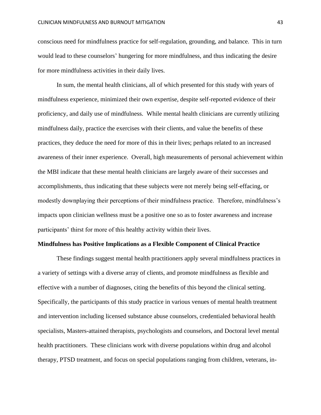conscious need for mindfulness practice for self-regulation, grounding, and balance. This in turn would lead to these counselors' hungering for more mindfulness, and thus indicating the desire for more mindfulness activities in their daily lives.

In sum, the mental health clinicians, all of which presented for this study with years of mindfulness experience, minimized their own expertise, despite self-reported evidence of their proficiency, and daily use of mindfulness. While mental health clinicians are currently utilizing mindfulness daily, practice the exercises with their clients, and value the benefits of these practices, they deduce the need for more of this in their lives; perhaps related to an increased awareness of their inner experience. Overall, high measurements of personal achievement within the MBI indicate that these mental health clinicians are largely aware of their successes and accomplishments, thus indicating that these subjects were not merely being self-effacing, or modestly downplaying their perceptions of their mindfulness practice. Therefore, mindfulness's impacts upon clinician wellness must be a positive one so as to foster awareness and increase participants' thirst for more of this healthy activity within their lives.

#### **Mindfulness has Positive Implications as a Flexible Component of Clinical Practice**

These findings suggest mental health practitioners apply several mindfulness practices in a variety of settings with a diverse array of clients, and promote mindfulness as flexible and effective with a number of diagnoses, citing the benefits of this beyond the clinical setting. Specifically, the participants of this study practice in various venues of mental health treatment and intervention including licensed substance abuse counselors, credentialed behavioral health specialists, Masters-attained therapists, psychologists and counselors, and Doctoral level mental health practitioners. These clinicians work with diverse populations within drug and alcohol therapy, PTSD treatment, and focus on special populations ranging from children, veterans, in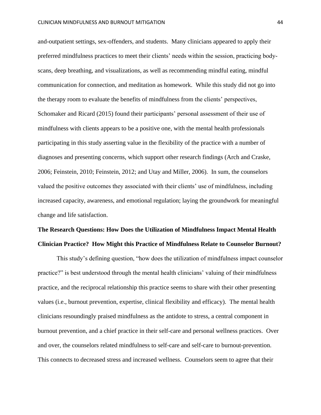and-outpatient settings, sex-offenders, and students. Many clinicians appeared to apply their preferred mindfulness practices to meet their clients' needs within the session, practicing bodyscans, deep breathing, and visualizations, as well as recommending mindful eating, mindful communication for connection, and meditation as homework. While this study did not go into the therapy room to evaluate the benefits of mindfulness from the clients' perspectives, Schomaker and Ricard (2015) found their participants' personal assessment of their use of mindfulness with clients appears to be a positive one, with the mental health professionals participating in this study asserting value in the flexibility of the practice with a number of diagnoses and presenting concerns, which support other research findings (Arch and Craske, 2006; Feinstein, 2010; Feinstein, 2012; and Utay and Miller, 2006). In sum, the counselors valued the positive outcomes they associated with their clients' use of mindfulness, including increased capacity, awareness, and emotional regulation; laying the groundwork for meaningful change and life satisfaction.

# **The Research Questions: How Does the Utilization of Mindfulness Impact Mental Health Clinician Practice? How Might this Practice of Mindfulness Relate to Counselor Burnout?**

This study's defining question, "how does the utilization of mindfulness impact counselor practice?" is best understood through the mental health clinicians' valuing of their mindfulness practice, and the reciprocal relationship this practice seems to share with their other presenting values (i.e., burnout prevention, expertise, clinical flexibility and efficacy).The mental health clinicians resoundingly praised mindfulness as the antidote to stress, a central component in burnout prevention, and a chief practice in their self-care and personal wellness practices. Over and over, the counselors related mindfulness to self-care and self-care to burnout-prevention. This connects to decreased stress and increased wellness. Counselors seem to agree that their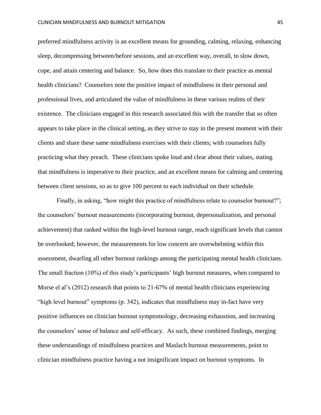preferred mindfulness activity is an excellent means for grounding, calming, relaxing, enhancing sleep, decompressing between/before sessions, and an excellent way, overall, to slow down, cope, and attain centering and balance. So, how does this translate to their practice as mental health clinicians? Counselors note the positive impact of mindfulness in their personal and professional lives, and articulated the value of mindfulness in these various realms of their existence. The clinicians engaged in this research associated this with the transfer that so often appears to take place in the clinical setting, as they strive to stay in the present moment with their clients and share these same mindfulness exercises with their clients; with counselors fully practicing what they preach. These clinicians spoke loud and clear about their values, stating that mindfulness is imperative to their practice, and an excellent means for calming and centering between client sessions, so as to give 100 percent to each individual on their schedule.

Finally, in asking, "how might this practice of mindfulness relate to counselor burnout?"; the counselors' burnout measurements (incorporating burnout, depersonalization, and personal achievement) that ranked within the high-level burnout range, reach significant levels that cannot be overlooked; however, the measurements for low concern are overwhelming within this assessment, dwarfing all other burnout rankings among the participating mental health clinicians. The small fraction (10%) of this study's participants' high burnout measures, when compared to Morse el al's (2012) research that points to 21-67% of mental health clinicians experiencing "high level burnout" symptoms (p. 342), indicates that mindfulness may in-fact have very positive influences on clinician burnout symptomology, decreasing exhaustion, and increasing the counselors' sense of balance and self-efficacy. As such, these combined findings, merging these understandings of mindfulness practices and Maslach burnout measurements, point to clinician mindfulness practice having a not insignificant impact on burnout symptoms. In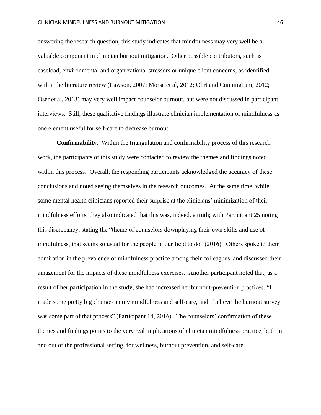answering the research question, this study indicates that mindfulness may very well be a valuable component in clinician burnout mitigation. Other possible contributors, such as caseload, environmental and organizational stressors or unique client concerns, as identified within the literature review (Lawson, 2007; Morse et al, 2012; Ohrt and Cunningham, 2012; Oser et al, 2013) may very well impact counselor burnout, but were not discussed in participant interviews. Still, these qualitative findings illustrate clinician implementation of mindfulness as one element useful for self-care to decrease burnout.

**Confirmability.** Within the triangulation and confirmability process of this research work, the participants of this study were contacted to review the themes and findings noted within this process. Overall, the responding participants acknowledged the accuracy of these conclusions and noted seeing themselves in the research outcomes. At the same time, while some mental health clinicians reported their surprise at the clinicians' minimization of their mindfulness efforts, they also indicated that this was, indeed, a truth; with Participant 25 noting this discrepancy, stating the "theme of counselors downplaying their own skills and use of mindfulness, that seems so usual for the people in our field to do" (2016). Others spoke to their admiration in the prevalence of mindfulness practice among their colleagues, and discussed their amazement for the impacts of these mindfulness exercises. Another participant noted that, as a result of her participation in the study, she had increased her burnout-prevention practices, "I made some pretty big changes in my mindfulness and self-care, and I believe the burnout survey was some part of that process" (Participant 14, 2016). The counselors' confirmation of these themes and findings points to the very real implications of clinician mindfulness practice, both in and out of the professional setting, for wellness, burnout prevention, and self-care.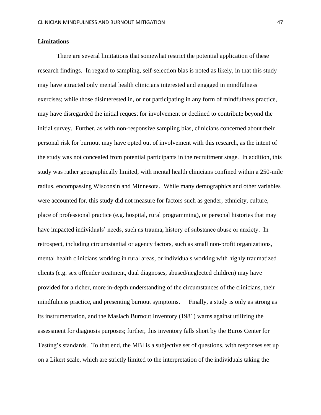#### **Limitations**

There are several limitations that somewhat restrict the potential application of these research findings. In regard to sampling, self-selection bias is noted as likely, in that this study may have attracted only mental health clinicians interested and engaged in mindfulness exercises; while those disinterested in, or not participating in any form of mindfulness practice, may have disregarded the initial request for involvement or declined to contribute beyond the initial survey. Further, as with non-responsive sampling bias, clinicians concerned about their personal risk for burnout may have opted out of involvement with this research, as the intent of the study was not concealed from potential participants in the recruitment stage. In addition, this study was rather geographically limited, with mental health clinicians confined within a 250-mile radius, encompassing Wisconsin and Minnesota. While many demographics and other variables were accounted for, this study did not measure for factors such as gender, ethnicity, culture, place of professional practice (e.g. hospital, rural programming), or personal histories that may have impacted individuals' needs, such as trauma, history of substance abuse or anxiety. In retrospect, including circumstantial or agency factors, such as small non-profit organizations, mental health clinicians working in rural areas, or individuals working with highly traumatized clients (e.g. sex offender treatment, dual diagnoses, abused/neglected children) may have provided for a richer, more in-depth understanding of the circumstances of the clinicians, their mindfulness practice, and presenting burnout symptoms. Finally, a study is only as strong as its instrumentation, and the Maslach Burnout Inventory (1981) warns against utilizing the assessment for diagnosis purposes; further, this inventory falls short by the Buros Center for Testing's standards. To that end, the MBI is a subjective set of questions, with responses set up on a Likert scale, which are strictly limited to the interpretation of the individuals taking the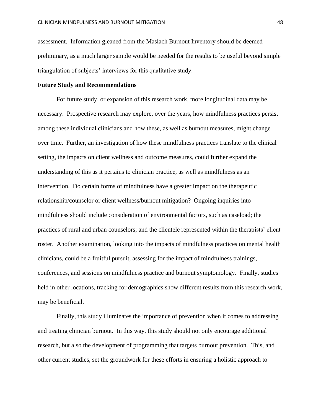assessment. Information gleaned from the Maslach Burnout Inventory should be deemed preliminary, as a much larger sample would be needed for the results to be useful beyond simple triangulation of subjects' interviews for this qualitative study.

#### **Future Study and Recommendations**

For future study, or expansion of this research work, more longitudinal data may be necessary. Prospective research may explore, over the years, how mindfulness practices persist among these individual clinicians and how these, as well as burnout measures, might change over time. Further, an investigation of how these mindfulness practices translate to the clinical setting, the impacts on client wellness and outcome measures, could further expand the understanding of this as it pertains to clinician practice, as well as mindfulness as an intervention. Do certain forms of mindfulness have a greater impact on the therapeutic relationship/counselor or client wellness/burnout mitigation? Ongoing inquiries into mindfulness should include consideration of environmental factors, such as caseload; the practices of rural and urban counselors; and the clientele represented within the therapists' client roster. Another examination, looking into the impacts of mindfulness practices on mental health clinicians, could be a fruitful pursuit, assessing for the impact of mindfulness trainings, conferences, and sessions on mindfulness practice and burnout symptomology. Finally, studies held in other locations, tracking for demographics show different results from this research work, may be beneficial.

Finally, this study illuminates the importance of prevention when it comes to addressing and treating clinician burnout. In this way, this study should not only encourage additional research, but also the development of programming that targets burnout prevention. This, and other current studies, set the groundwork for these efforts in ensuring a holistic approach to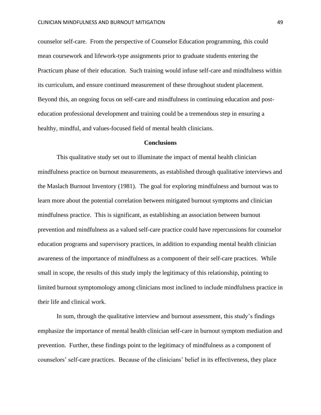counselor self-care. From the perspective of Counselor Education programming, this could mean coursework and lifework-type assignments prior to graduate students entering the Practicum phase of their education. Such training would infuse self-care and mindfulness within its curriculum, and ensure continued measurement of these throughout student placement. Beyond this, an ongoing focus on self-care and mindfulness in continuing education and posteducation professional development and training could be a tremendous step in ensuring a healthy, mindful, and values-focused field of mental health clinicians.

#### **Conclusions**

This qualitative study set out to illuminate the impact of mental health clinician mindfulness practice on burnout measurements, as established through qualitative interviews and the Maslach Burnout Inventory (1981). The goal for exploring mindfulness and burnout was to learn more about the potential correlation between mitigated burnout symptoms and clinician mindfulness practice. This is significant, as establishing an association between burnout prevention and mindfulness as a valued self-care practice could have repercussions for counselor education programs and supervisory practices, in addition to expanding mental health clinician awareness of the importance of mindfulness as a component of their self-care practices. While small in scope, the results of this study imply the legitimacy of this relationship, pointing to limited burnout symptomology among clinicians most inclined to include mindfulness practice in their life and clinical work.

In sum, through the qualitative interview and burnout assessment, this study's findings emphasize the importance of mental health clinician self-care in burnout symptom mediation and prevention. Further, these findings point to the legitimacy of mindfulness as a component of counselors' self-care practices. Because of the clinicians' belief in its effectiveness, they place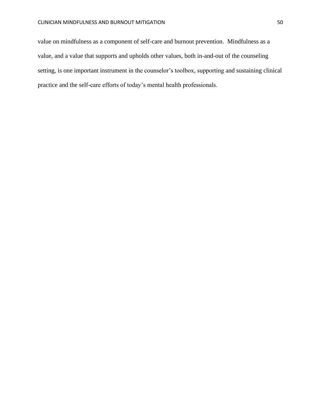value on mindfulness as a component of self-care and burnout prevention. Mindfulness as a value, and a value that supports and upholds other values, both in-and-out of the counseling setting, is one important instrument in the counselor's toolbox, supporting and sustaining clinical practice and the self-care efforts of today's mental health professionals.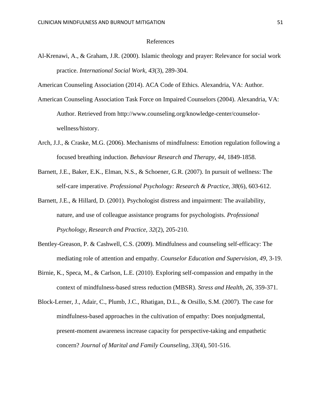#### References

Al-Krenawi, A., & Graham, J.R. (2000). Islamic theology and prayer: Relevance for social work practice. *International Social Work, 43*(3), 289-304.

American Counseling Association (2014). ACA Code of Ethics. Alexandria, VA: Author.

- American Counseling Association Task Force on Impaired Counselors (2004). Alexandria, VA: Author. Retrieved from http://www.counseling.org/knowledge-center/counselorwellness/history.
- Arch, J.J., & Craske, M.G. (2006). Mechanisms of mindfulness: Emotion regulation following a focused breathing induction. *Behaviour Research and Therapy, 44,* 1849-1858.
- Barnett, J.E., Baker, E.K., Elman, N.S., & Schoener, G.R. (2007). In pursuit of wellness: The self-care imperative. *Professional Psychology: Research & Practice, 38*(6), 603-612.
- Barnett, J.E., & Hillard, D. (2001). Psychologist distress and impairment: The availability, nature, and use of colleague assistance programs for psychologists. *Professional Psychology, Research and Practice, 32*(2), 205-210.
- Bentley-Greason, P. & Cashwell, C.S. (2009). Mindfulness and counseling self-efficacy: The mediating role of attention and empathy. *Counselor Education and Supervision, 49*, 3-19.
- Birnie, K., Speca, M., & Carlson, L.E. (2010). Exploring self-compassion and empathy in the context of mindfulness-based stress reduction (MBSR). *Stress and Health, 26,* 359-371.
- Block-Lerner, J., Adair, C., Plumb, J.C., Rhatigan, D.L., & Orsillo, S.M. (2007). The case for mindfulness-based approaches in the cultivation of empathy: Does nonjudgmental, present-moment awareness increase capacity for perspective-taking and empathetic concern? *Journal of Marital and Family Counseling, 33*(4), 501-516.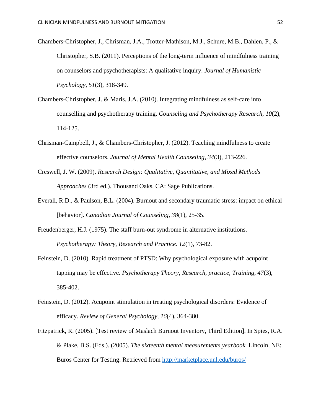- Chambers-Christopher, J., Chrisman, J.A., Trotter-Mathison, M.J., Schure, M.B., Dahlen, P., & Christopher, S.B. (2011). Perceptions of the long-term influence of mindfulness training on counselors and psychotherapists: A qualitative inquiry. *Journal of Humanistic Psychology, 51*(3), 318-349.
- Chambers-Christopher, J. & Maris, J.A. (2010). Integrating mindfulness as self-care into counselling and psychotherapy training. *Counseling and Psychotherapy Research, 10*(2), 114-125.
- Chrisman-Campbell, J., & Chambers-Christopher, J. (2012). Teaching mindfulness to create effective counselors. *Journal of Mental Health Counseling, 34*(3), 213-226.
- Creswell, J. W. (2009). *Research Design: Qualitative, Quantitative, and Mixed Methods Approaches* (3rd ed.). Thousand Oaks, CA: Sage Publications.
- Everall, R.D., & Paulson, B.L. (2004). Burnout and secondary traumatic stress: impact on ethical [behavior]. *Canadian Journal of Counseling, 38*(1), 25-35.
- Freudenberger, H.J. (1975). The staff burn-out syndrome in alternative institutions. *Psychotherapy: Theory, Research and Practice. 12*(1)*,* 73-82.
- Feinstein, D. (2010). Rapid treatment of PTSD: Why psychological exposure with acupoint tapping may be effective. *Psychotherapy Theory, Research, practice, Training, 47*(3), 385-402.
- Feinstein, D. (2012). Acupoint stimulation in treating psychological disorders: Evidence of efficacy. *Review of General Psychology, 16*(4), 364-380.
- Fitzpatrick, R. (2005). [Test review of Maslach Burnout Inventory, Third Edition]. In Spies, R.A. & Plake, B.S. (Eds.). (2005). *The sixteenth mental measurements yearbook.* Lincoln, NE: Buros Center for Testing. Retrieved from<http://marketplace.unl.edu/buros/>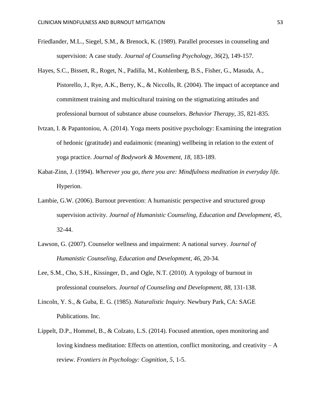- Friedlander, M.L., Siegel, S.M., & Brenock, K. (1989). Parallel processes in counseling and supervision: A case study. *Journal of Counseling Psychology, 36*(2), 149-157.
- Hayes, S.C., Bissett, R., Roget, N., Padilla, M., Kohlenberg, B.S., Fisher, G., Masuda, A., Pistorello, J., Rye, A.K., Berry, K., & Niccolls, R. (2004). The impact of acceptance and commitment training and multicultural training on the stigmatizing attitudes and professional burnout of substance abuse counselors. *Behavior Therapy, 35*, 821-835.
- Ivtzan, I. & Papantoniou, A. (2014). Yoga meets positive psychology: Examining the integration of hedonic (gratitude) and eudaimonic (meaning) wellbeing in relation to the extent of yoga practice. *Journal of Bodywork & Movement, 18,* 183-189.
- Kabat-Zinn, J. (1994). *Wherever you go, there you are: Mindfulness meditation in everyday life.*  Hyperion.
- Lambie, G.W. (2006). Burnout prevention: A humanistic perspective and structured group supervision activity. *Journal of Humanistic Counseling, Education and Development, 45*, 32-44.
- Lawson, G. (2007). Counselor wellness and impairment: A national survey. *Journal of Humanistic Counseling, Education and Development, 46*, 20-34.
- Lee, S.M., Cho, S.H., Kissinger, D., and Ogle, N.T. (2010). A typology of burnout in professional counselors. *Journal of Counseling and Development, 88,* 131-138.
- Lincoln, Y. S., & Guba, E. G. (1985). *Naturalistic Inquiry.* Newbury Park, CA: SAGE Publications. Inc.
- Lippelt, D.P., Hommel, B., & Colzato, L.S. (2014). Focused attention, open monitoring and loving kindness meditation: Effects on attention, conflict monitoring, and creativity  $-A$ review. *Frontiers in Psychology: Cognition, 5,* 1-5.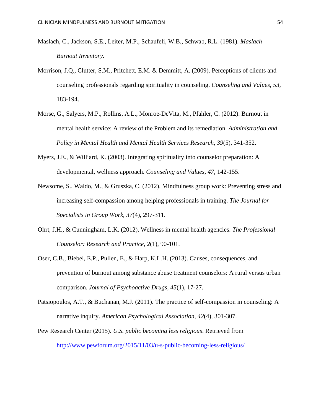- Maslach, C., Jackson, S.E., Leiter, M.P., Schaufeli, W.B., Schwab, R.L. (1981). *Maslach Burnout Inventory.*
- Morrison, J.Q., Clutter, S.M., Pritchett, E.M. & Demmitt, A. (2009). Perceptions of clients and counseling professionals regarding spirituality in counseling. *Counseling and Values, 53,* 183-194.
- Morse, G., Salyers, M.P., Rollins, A.L., Monroe-DeVita, M., Pfahler, C. (2012). Burnout in mental health service: A review of the Problem and its remediation. *Administration and Policy in Mental Health and Mental Health Services Research, 39*(5), 341-352.
- Myers, J.E., & Williard, K. (2003). Integrating spirituality into counselor preparation: A developmental, wellness approach. *Counseling and Values, 47,* 142-155.
- Newsome, S., Waldo, M., & Gruszka, C. (2012). Mindfulness group work: Preventing stress and increasing self-compassion among helping professionals in training. *The Journal for Specialists in Group Work, 37*(4), 297-311.
- Ohrt, J.H., & Cunningham, L.K. (2012). Wellness in mental health agencies. *The Professional Counselor: Research and Practice, 2*(1), 90-101.
- Oser, C.B., Biebel, E.P., Pullen, E., & Harp, K.L.H. (2013). Causes, consequences, and prevention of burnout among substance abuse treatment counselors: A rural versus urban comparison. *Journal of Psychoactive Drugs, 45*(1), 17-27.
- Patsiopoulos, A.T., & Buchanan, M.J. (2011). The practice of self-compassion in counseling: A narrative inquiry. *American Psychological Association, 42*(4), 301-307.
- Pew Research Center (2015). *U.S. public becoming less religious*. Retrieved from <http://www.pewforum.org/2015/11/03/u-s-public-becoming-less-religious/>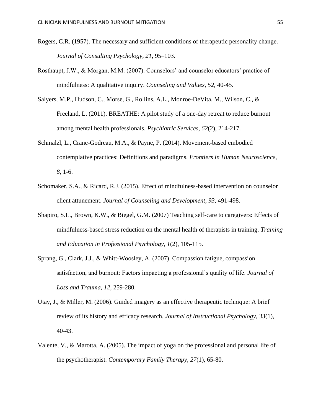- Rogers, C.R. (1957). The necessary and sufficient conditions of therapeutic personality change. *Journal of Consulting Psychology, 21,* 95–103.
- Rosthaupt, J.W., & Morgan, M.M. (2007). Counselors' and counselor educators' practice of mindfulness: A qualitative inquiry. *Counseling and Values, 52*, 40-45.
- Salyers, M.P., Hudson, C., Morse, G., Rollins, A.L., Monroe-DeVita, M., Wilson, C., & Freeland, L. (2011). BREATHE: A pilot study of a one-day retreat to reduce burnout among mental health professionals. *Psychiatric Services, 62*(2), 214-217.
- Schmalzl, L., Crane-Godreau, M.A., & Payne, P. (2014). Movement-based embodied contemplative practices: Definitions and paradigms. *Frontiers in Human Neuroscience, 8,* 1-6.
- Schomaker, S.A., & Ricard, R.J. (2015). Effect of mindfulness-based intervention on counselor client attunement. *Journal of Counseling and Development, 93,* 491-498.
- Shapiro, S.L., Brown, K.W., & Biegel, G.M. (2007) Teaching self-care to caregivers: Effects of mindfulness-based stress reduction on the mental health of therapists in training. *Training and Education in Professional Psychology, 1*(2), 105-115.
- Sprang, G., Clark, J.J., & Whitt-Woosley, A. (2007). Compassion fatigue, compassion satisfaction, and burnout: Factors impacting a professional's quality of life. *Journal of Loss and Trauma, 12*, 259-280.
- Utay, J., & Miller, M. (2006). Guided imagery as an effective therapeutic technique: A brief review of its history and efficacy research. *Journal of Instructional Psychology, 33*(1), 40-43.
- Valente, V., & Marotta, A. (2005). The impact of yoga on the professional and personal life of the psychotherapist. *Contemporary Family Therapy, 27*(1), 65-80.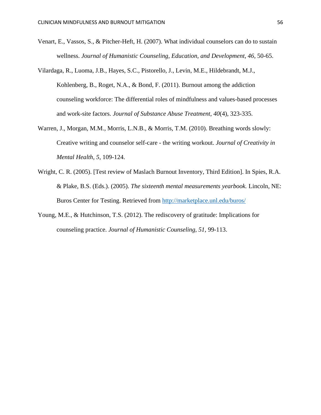- Venart, E., Vassos, S., & Pitcher-Heft, H. (2007). What individual counselors can do to sustain wellness. *Journal of Humanistic Counseling, Education, and Development, 46*, 50-65.
- Vilardaga, R., Luoma, J.B., Hayes, S.C., Pistorello, J., Levin, M.E., Hildebrandt, M.J., Kohlenberg, B., Roget, N.A., & Bond, F. (2011). Burnout among the addiction counseling workforce: The differential roles of mindfulness and values-based processes and work-site factors. *Journal of Substance Abuse Treatment, 40*(4), 323-335.
- Warren, J., Morgan, M.M., Morris, L.N.B., & Morris, T.M. (2010). Breathing words slowly: Creative writing and counselor self-care - the writing workout. *Journal of Creativity in Mental Health, 5*, 109-124.
- Wright, C. R. (2005). [Test review of Maslach Burnout Inventory, Third Edition]. In Spies, R.A. & Plake, B.S. (Eds.). (2005). *The sixteenth mental measurements yearbook.* Lincoln, NE: Buros Center for Testing. Retrieved from<http://marketplace.unl.edu/buros/>
- Young, M.E., & Hutchinson, T.S. (2012). The rediscovery of gratitude: Implications for counseling practice. *Journal of Humanistic Counseling, 51,* 99-113.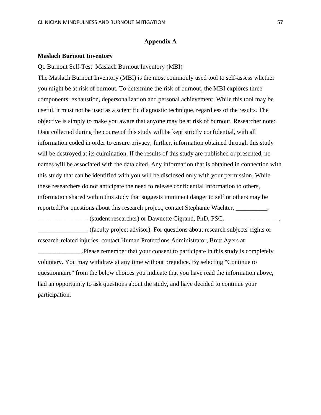# **Appendix A**

#### **Maslach Burnout Inventory**

Q1 Burnout Self-Test Maslach Burnout Inventory (MBI)

The Maslach Burnout Inventory (MBI) is the most commonly used tool to self-assess whether you might be at risk of burnout. To determine the risk of burnout, the MBI explores three components: exhaustion, depersonalization and personal achievement. While this tool may be useful, it must not be used as a scientific diagnostic technique, regardless of the results. The objective is simply to make you aware that anyone may be at risk of burnout. Researcher note: Data collected during the course of this study will be kept strictly confidential, with all information coded in order to ensure privacy; further, information obtained through this study will be destroyed at its culmination. If the results of this study are published or presented, no names will be associated with the data cited. Any information that is obtained in connection with this study that can be identified with you will be disclosed only with your permission. While these researchers do not anticipate the need to release confidential information to others, information shared within this study that suggests imminent danger to self or others may be reported.For questions about this research project, contact Stephanie Wachter, \_\_\_\_\_\_\_\_\_\_,

\_\_\_\_\_\_\_\_\_\_\_\_\_\_\_\_ (student researcher) or Dawnette Cigrand, PhD, PSC, \_\_\_\_\_\_\_\_\_\_\_\_\_\_\_\_\_,

\_\_\_\_\_\_\_\_\_\_\_\_\_\_\_\_ (faculty project advisor). For questions about research subjects' rights or research-related injuries, contact Human Protections Administrator, Brett Ayers at

\_\_\_\_\_\_\_\_\_\_\_\_\_\_.Please remember that your consent to participate in this study is completely voluntary. You may withdraw at any time without prejudice. By selecting "Continue to questionnaire" from the below choices you indicate that you have read the information above, had an opportunity to ask questions about the study, and have decided to continue your participation.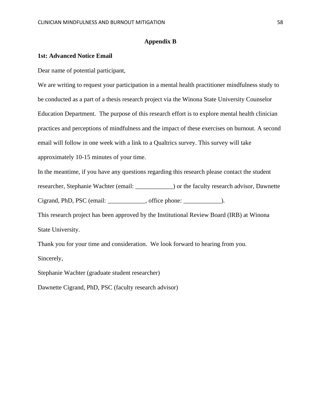### **Appendix B**

### **1st: Advanced Notice Email**

Dear name of potential participant,

We are writing to request your participation in a mental health practitioner mindfulness study to be conducted as a part of a thesis research project via the Winona State University Counselor Education Department. The purpose of this research effort is to explore mental health clinician practices and perceptions of mindfulness and the impact of these exercises on burnout. A second email will follow in one week with a link to a Qualtrics survey. This survey will take approximately 10-15 minutes of your time.

In the meantime, if you have any questions regarding this research please contact the student

researcher, Stephanie Wachter (email: \_\_\_\_\_\_\_\_\_\_\_\_) or the faculty research advisor, Dawnette

Cigrand, PhD, PSC (email: \_\_\_\_\_\_\_\_\_\_\_, office phone: \_\_\_\_\_\_\_\_\_\_\_\_\_\_).

This research project has been approved by the Institutional Review Board (IRB) at Winona State University.

Thank you for your time and consideration. We look forward to hearing from you. Sincerely,

Stephanie Wachter (graduate student researcher)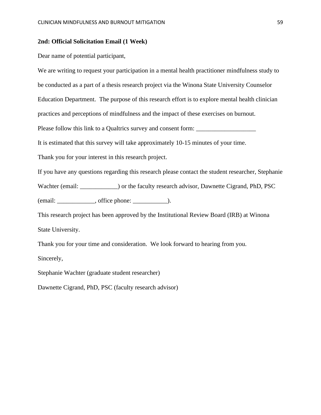#### **2nd: Official Solicitation Email (1 Week)**

Dear name of potential participant,

We are writing to request your participation in a mental health practitioner mindfulness study to be conducted as a part of a thesis research project via the Winona State University Counselor Education Department. The purpose of this research effort is to explore mental health clinician practices and perceptions of mindfulness and the impact of these exercises on burnout. Please follow this link to a Qualtrics survey and consent form: \_\_\_\_\_\_\_\_\_\_\_\_\_\_\_\_\_ It is estimated that this survey will take approximately 10-15 minutes of your time. Thank you for your interest in this research project. If you have any questions regarding this research please contact the student researcher, Stephanie Wachter (email: \_\_\_\_\_\_\_\_\_\_\_\_\_) or the faculty research advisor, Dawnette Cigrand, PhD, PSC (email: \_\_\_\_\_\_\_\_\_\_\_\_, office phone: \_\_\_\_\_\_\_\_\_\_\_). This research project has been approved by the Institutional Review Board (IRB) at Winona

State University.

Thank you for your time and consideration. We look forward to hearing from you.

Sincerely,

Stephanie Wachter (graduate student researcher)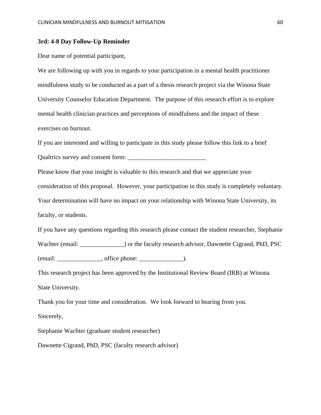#### **3rd: 4-8 Day Follow-Up Reminder**

Dear name of potential participant,

We are following up with you in regards to your participation in a mental health practitioner mindfulness study to be conducted as a part of a thesis research project via the Winona State University Counselor Education Department. The purpose of this research effort is to explore mental health clinician practices and perceptions of mindfulness and the impact of these exercises on burnout.

If you are interested and willing to participate in this study please follow this link to a brief Qualtrics survey and consent form: \_\_\_\_\_\_\_\_\_\_\_\_\_\_\_\_\_\_\_\_\_\_\_\_\_

Please know that your insight is valuable to this research and that we appreciate your

consideration of this proposal. However, your participation in this study is completely voluntary.

Your determination will have no impact on your relationship with Winona State University, its faculty, or students.

If you have any questions regarding this research please contact the student researcher, Stephanie Wachter (email: \_\_\_\_\_\_\_\_\_\_\_\_\_\_) or the faculty research advisor, Dawnette Cigrand, PhD, PSC  $(email: ____________$ , office phone:  $__$ .

This research project has been approved by the Institutional Review Board (IRB) at Winona State University.

Thank you for your time and consideration. We look forward to hearing from you. Sincerely,

Stephanie Wachter (graduate student researcher)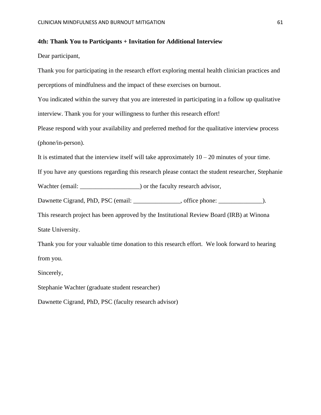#### **4th: Thank You to Participants + Invitation for Additional Interview**

Dear participant,

Thank you for participating in the research effort exploring mental health clinician practices and perceptions of mindfulness and the impact of these exercises on burnout.

You indicated within the survey that you are interested in participating in a follow up qualitative interview. Thank you for your willingness to further this research effort!

Please respond with your availability and preferred method for the qualitative interview process (phone/in-person).

It is estimated that the interview itself will take approximately  $10 - 20$  minutes of your time.

If you have any questions regarding this research please contact the student researcher, Stephanie

Wachter (email:  $\blacksquare$ ) or the faculty research advisor,

Dawnette Cigrand, PhD, PSC (email: \_\_\_\_\_\_\_\_\_\_\_\_\_, office phone: \_\_\_\_\_\_\_\_\_\_\_\_\_\_\_\_).

This research project has been approved by the Institutional Review Board (IRB) at Winona State University.

Thank you for your valuable time donation to this research effort. We look forward to hearing from you.

Sincerely,

Stephanie Wachter (graduate student researcher)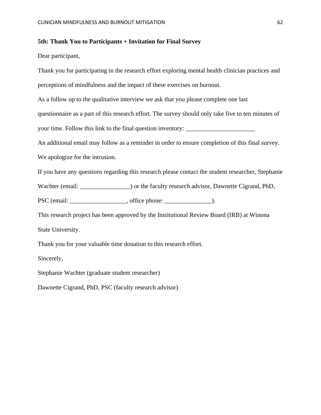#### **5th: Thank You to Participants + Invitation for Final Survey**

Dear participant,

Thank you for participating in the research effort exploring mental health clinician practices and perceptions of mindfulness and the impact of these exercises on burnout. As a follow up to the qualitative interview we ask that you please complete one last questionnaire as a part of this research effort. The survey should only take five to ten minutes of your time. Follow this link to the final question inventory: \_\_\_\_\_\_\_\_\_\_\_\_\_\_\_\_\_\_\_\_ An additional email may follow as a reminder in order to ensure completion of this final survey. We apologize for the intrusion. If you have any questions regarding this research please contact the student researcher, Stephanie Wachter (email: \_\_\_\_\_\_\_\_\_\_\_\_\_\_\_) or the faculty research advisor, Dawnette Cigrand, PhD, PSC (email: \_\_\_\_\_\_\_\_\_\_\_\_\_\_\_\_\_\_, office phone: \_\_\_\_\_\_\_\_\_\_\_\_\_\_\_\_\_\_\_\_\_\_\_\_\_\_\_\_\_\_\_\_\_\_\_ This research project has been approved by the Institutional Review Board (IRB) at Winona State University. Thank you for your valuable time donation to this research effort.

Sincerely,

Stephanie Wachter (graduate student researcher)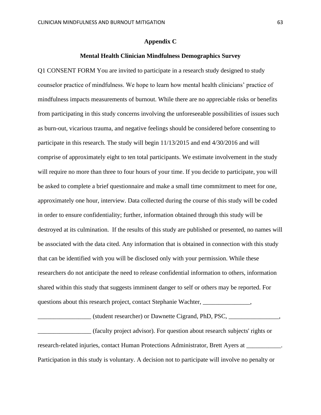#### **Appendix C**

#### **Mental Health Clinician Mindfulness Demographics Survey**

Q1 CONSENT FORM You are invited to participate in a research study designed to study counselor practice of mindfulness. We hope to learn how mental health clinicians' practice of mindfulness impacts measurements of burnout. While there are no appreciable risks or benefits from participating in this study concerns involving the unforeseeable possibilities of issues such as burn-out, vicarious trauma, and negative feelings should be considered before consenting to participate in this research. The study will begin 11/13/2015 and end 4/30/2016 and will comprise of approximately eight to ten total participants. We estimate involvement in the study will require no more than three to four hours of your time. If you decide to participate, you will be asked to complete a brief questionnaire and make a small time commitment to meet for one, approximately one hour, interview. Data collected during the course of this study will be coded in order to ensure confidentiality; further, information obtained through this study will be destroyed at its culmination. If the results of this study are published or presented, no names will be associated with the data cited. Any information that is obtained in connection with this study that can be identified with you will be disclosed only with your permission. While these researchers do not anticipate the need to release confidential information to others, information shared within this study that suggests imminent danger to self or others may be reported. For questions about this research project, contact Stephanie Wachter, \_\_\_\_\_\_\_\_\_\_\_\_\_\_,

\_\_\_\_\_\_\_\_\_\_\_\_\_\_\_\_\_ (student researcher) or Dawnette Cigrand, PhD, PSC, \_\_\_\_\_\_\_\_\_\_\_\_\_\_\_\_,

\_\_\_\_\_\_\_\_\_\_\_\_\_\_\_\_\_ (faculty project advisor). For question about research subjects' rights or research-related injuries, contact Human Protections Administrator, Brett Ayers at \_\_\_\_\_\_\_\_\_\_\_. Participation in this study is voluntary. A decision not to participate will involve no penalty or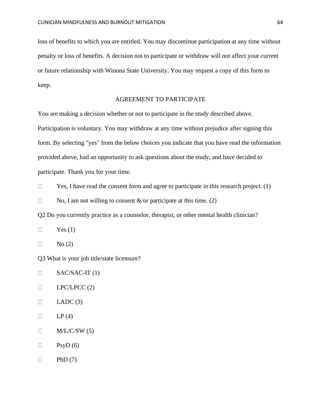loss of benefits to which you are entitled. You may discontinue participation at any time without penalty or loss of benefits. A decision not to participate or withdraw will not affect your current or future relationship with Winona State University. You may request a copy of this form to keep.

# AGREEMENT TO PARTICIPATE

You are making a decision whether or not to participate in the study described above. Participation is voluntary. You may withdraw at any time without prejudice after signing this form. By selecting "yes" from the below choices you indicate that you have read the information provided above, had an opportunity to ask questions about the study, and have decided to participate. Thank you for your time.

 $\Box$ Yes, I have read the consent form and agree to participate in this research project. (1)

 $\Box$ No, I am not willing to consent  $\&$ /or participate at this time. (2)

Q2 Do you currently practice as a counselor, therapist, or other mental health clinician?

 $\Box$ Yes  $(1)$ 

 $\Box$ No (2)

Q3 What is your job title/state licensure?

- SAC/SAC-IT (1)  $\Box$
- $\Box$ LPC/LPCC (2)
- $\Box$  $LADC(3)$
- $LP(4)$  $\Box$
- $\Box$  $M/L/C/SW(5)$
- $\Box$  $PsyD(6)$
- $\hfill \square$ PhD  $(7)$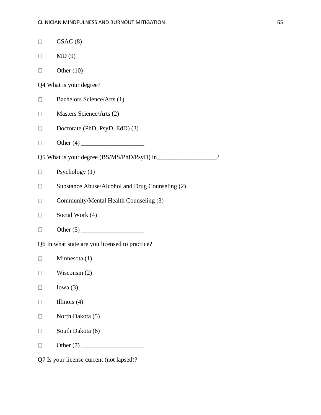| $\Box$                   | CSAC(8)                                         |          |
|--------------------------|-------------------------------------------------|----------|
| $\vert \ \ \vert$        | MD(9)                                           |          |
|                          |                                                 |          |
|                          | Q4 What is your degree?                         |          |
|                          | Bachelors Science/Arts (1)                      |          |
| $\vert \ \ \vert$        | Masters Science/Arts (2)                        |          |
|                          | Doctorate (PhD, PsyD, EdD) (3)                  |          |
|                          |                                                 |          |
|                          |                                                 | $\gamma$ |
|                          | Psychology (1)                                  |          |
| $\vert \ \ \vert$        | Substance Abuse/Alcohol and Drug Counseling (2) |          |
| $\Box$                   | Community/Mental Health Counseling (3)          |          |
|                          | Social Work (4)                                 |          |
| $\overline{\phantom{a}}$ |                                                 |          |
|                          | Q6 In what state are you licensed to practice?  |          |
| $\mathbf{L}$             | Minnesota $(1)$                                 |          |
|                          | Wisconsin $(2)$                                 |          |
|                          | Iowa $(3)$                                      |          |
|                          | Illinois $(4)$                                  |          |
|                          | North Dakota (5)                                |          |
|                          | South Dakota (6)                                |          |
|                          |                                                 |          |
|                          | $oneo$ $numant (not longold)$                   |          |

Q7 Is your license current (not lapsed)?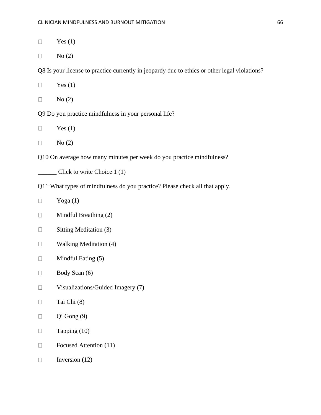- $\Box$ Yes  $(1)$
- No (2)  $\Box$

Q8 Is your license to practice currently in jeopardy due to ethics or other legal violations?

- Yes  $(1)$  $\Box$
- $\Box$ No (2)

Q9 Do you practice mindfulness in your personal life?

- Yes  $(1)$  $\Box$
- $\Box$ No (2)

Q10 On average how many minutes per week do you practice mindfulness?

\_\_\_\_\_\_ Click to write Choice 1 (1)

- Q11 What types of mindfulness do you practice? Please check all that apply.
- $\Box$ Yoga (1)
- $\Box$ Mindful Breathing (2)
- $\Box$ Sitting Meditation (3)
- $\Box$ Walking Meditation (4)
- Mindful Eating (5)  $\Box$
- $\Box$ Body Scan (6)
- $\Box$ Visualizations/Guided Imagery (7)
- $\Box$ Tai Chi (8)
- $\Box$ Qi Gong (9)
- $\Box$ Tapping (10)
- $\Box$ Focused Attention (11)
- $\Box$ Inversion (12)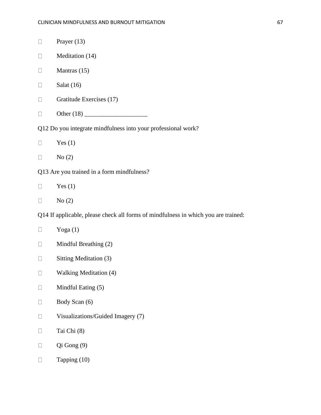| $\vert \ \ \vert$                                                                  | Prayer $(13)$                     |  |
|------------------------------------------------------------------------------------|-----------------------------------|--|
| ⊔                                                                                  | Meditation (14)                   |  |
| $\mathbf{L}$                                                                       | Mantras (15)                      |  |
|                                                                                    | Salat $(16)$                      |  |
| $\Box$                                                                             | Gratitude Exercises (17)          |  |
| $\mathbf{L}$                                                                       |                                   |  |
| Q12 Do you integrate mindfulness into your professional work?                      |                                   |  |
| $\Box$                                                                             | Yes $(1)$                         |  |
|                                                                                    | No(2)                             |  |
| Q13 Are you trained in a form mindfulness?                                         |                                   |  |
| $\overline{\phantom{a}}$                                                           | Yes $(1)$                         |  |
| $\Box$                                                                             | No(2)                             |  |
| Q14 If applicable, please check all forms of mindfulness in which you are trained: |                                   |  |
|                                                                                    | Yoga $(1)$                        |  |
| $\overline{\phantom{a}}$                                                           | Mindful Breathing (2)             |  |
| $\vert \ \ \vert$                                                                  | Sitting Meditation (3)            |  |
|                                                                                    | <b>Walking Meditation (4)</b>     |  |
|                                                                                    | Mindful Eating (5)                |  |
|                                                                                    | Body Scan (6)                     |  |
|                                                                                    | Visualizations/Guided Imagery (7) |  |
|                                                                                    | Tai Chi (8)                       |  |
|                                                                                    | Qi Gong (9)                       |  |
|                                                                                    | Tapping (10)                      |  |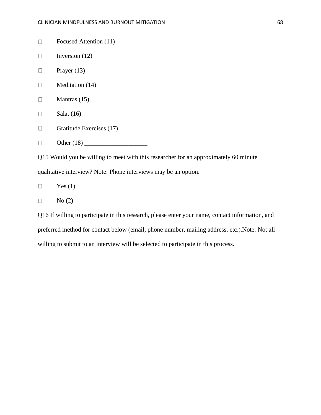- $\Box$ Focused Attention (11)
- Inversion (12)  $\Box$
- $\Box$ Prayer (13)
- Meditation (14)  $\Box$
- $\Box$ Mantras (15)
- $\Box$ Salat (16)
- $\Box$ Gratitude Exercises (17)
- Other (18) \_\_\_\_\_\_\_\_\_\_\_\_\_\_\_\_\_\_\_\_  $\Box$

Q15 Would you be willing to meet with this researcher for an approximately 60 minute qualitative interview? Note: Phone interviews may be an option.

 $\Box$ Yes  $(1)$ 

 $\Box$ No (2)

Q16 If willing to participate in this research, please enter your name, contact information, and preferred method for contact below (email, phone number, mailing address, etc.).Note: Not all willing to submit to an interview will be selected to participate in this process.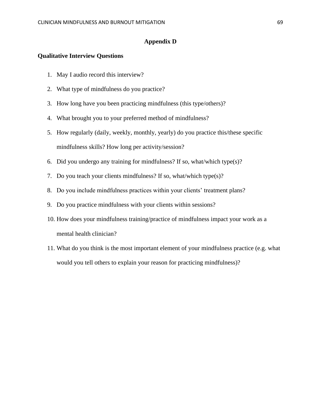### **Appendix D**

# **Qualitative Interview Questions**

- 1. May I audio record this interview?
- 2. What type of mindfulness do you practice?
- 3. How long have you been practicing mindfulness (this type/others)?
- 4. What brought you to your preferred method of mindfulness?
- 5. How regularly (daily, weekly, monthly, yearly) do you practice this/these specific mindfulness skills? How long per activity/session?
- 6. Did you undergo any training for mindfulness? If so, what/which type(s)?
- 7. Do you teach your clients mindfulness? If so, what/which type(s)?
- 8. Do you include mindfulness practices within your clients' treatment plans?
- 9. Do you practice mindfulness with your clients within sessions?
- 10. How does your mindfulness training/practice of mindfulness impact your work as a mental health clinician?
- 11. What do you think is the most important element of your mindfulness practice (e.g. what would you tell others to explain your reason for practicing mindfulness)?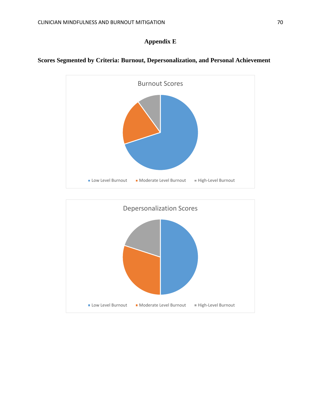# **Appendix E**



# **Scores Segmented by Criteria: Burnout, Depersonalization, and Personal Achievement**